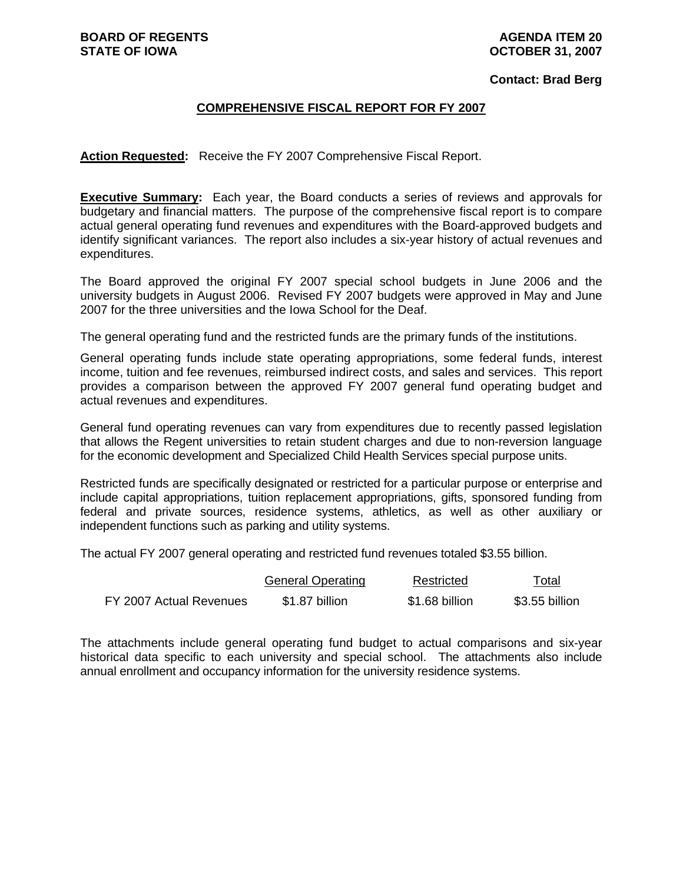#### **AGENDA ITEM 20 OCTOBER 31, 2007**

#### **Contact: Brad Berg**

## **COMPREHENSIVE FISCAL REPORT FOR FY 2007**

**Action Requested:** Receive the FY 2007 Comprehensive Fiscal Report.

**Executive Summary:** Each year, the Board conducts a series of reviews and approvals for budgetary and financial matters. The purpose of the comprehensive fiscal report is to compare actual general operating fund revenues and expenditures with the Board-approved budgets and identify significant variances. The report also includes a six-year history of actual revenues and expenditures.

The Board approved the original FY 2007 special school budgets in June 2006 and the university budgets in August 2006. Revised FY 2007 budgets were approved in May and June 2007 for the three universities and the Iowa School for the Deaf.

The general operating fund and the restricted funds are the primary funds of the institutions.

General operating funds include state operating appropriations, some federal funds, interest income, tuition and fee revenues, reimbursed indirect costs, and sales and services. This report provides a comparison between the approved FY 2007 general fund operating budget and actual revenues and expenditures.

General fund operating revenues can vary from expenditures due to recently passed legislation that allows the Regent universities to retain student charges and due to non-reversion language for the economic development and Specialized Child Health Services special purpose units.

Restricted funds are specifically designated or restricted for a particular purpose or enterprise and include capital appropriations, tuition replacement appropriations, gifts, sponsored funding from federal and private sources, residence systems, athletics, as well as other auxiliary or independent functions such as parking and utility systems.

The actual FY 2007 general operating and restricted fund revenues totaled \$3.55 billion.

|                         | <b>General Operating</b> | Restricted     | Total          |
|-------------------------|--------------------------|----------------|----------------|
| FY 2007 Actual Revenues | \$1.87 billion           | \$1.68 billion | \$3.55 billion |

The attachments include general operating fund budget to actual comparisons and six-year historical data specific to each university and special school. The attachments also include annual enrollment and occupancy information for the university residence systems.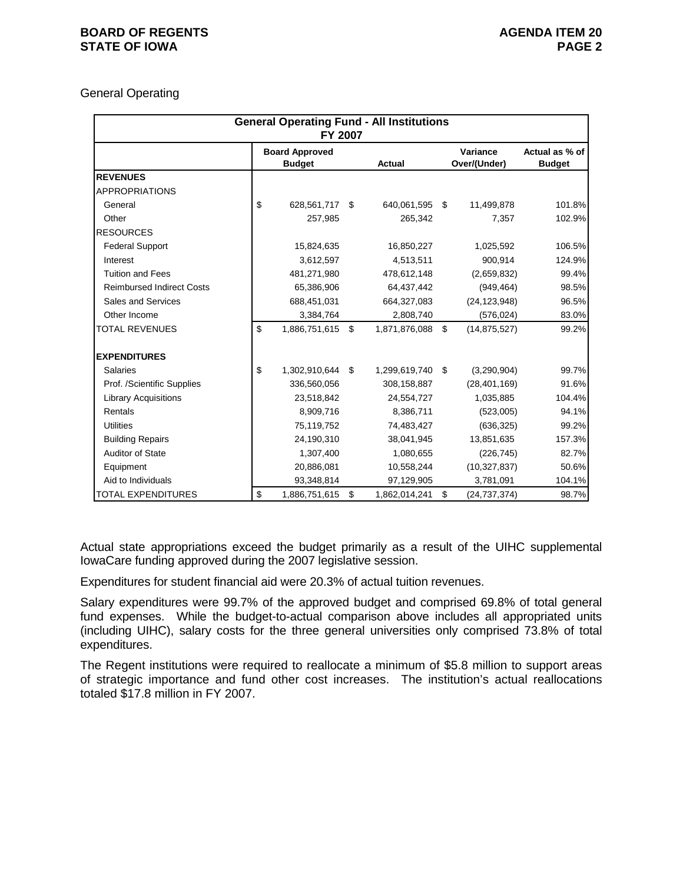### **BOARD OF REGENTS AGENUS AGENDA ITEM 20 STATE OF IOWA** PAGE 2

### General Operating

|                                  | <b>General Operating Fund - All Institutions</b><br>FY 2007 |                                        |    |               |    |                          |                                 |  |  |  |  |  |
|----------------------------------|-------------------------------------------------------------|----------------------------------------|----|---------------|----|--------------------------|---------------------------------|--|--|--|--|--|
|                                  |                                                             | <b>Board Approved</b><br><b>Budget</b> |    | Actual        |    | Variance<br>Over/(Under) | Actual as % of<br><b>Budget</b> |  |  |  |  |  |
| <b>REVENUES</b>                  |                                                             |                                        |    |               |    |                          |                                 |  |  |  |  |  |
| <b>APPROPRIATIONS</b>            |                                                             |                                        |    |               |    |                          |                                 |  |  |  |  |  |
| General                          | \$                                                          | 628,561,717                            | \$ | 640,061,595   | \$ | 11,499,878               | 101.8%                          |  |  |  |  |  |
| Other                            |                                                             | 257,985                                |    | 265,342       |    | 7,357                    | 102.9%                          |  |  |  |  |  |
| <b>RESOURCES</b>                 |                                                             |                                        |    |               |    |                          |                                 |  |  |  |  |  |
| <b>Federal Support</b>           |                                                             | 15,824,635                             |    | 16,850,227    |    | 1,025,592                | 106.5%                          |  |  |  |  |  |
| Interest                         |                                                             | 3,612,597                              |    | 4,513,511     |    | 900,914                  | 124.9%                          |  |  |  |  |  |
| <b>Tuition and Fees</b>          |                                                             | 481,271,980                            |    | 478,612,148   |    | (2,659,832)              | 99.4%                           |  |  |  |  |  |
| <b>Reimbursed Indirect Costs</b> |                                                             | 65,386,906                             |    | 64,437,442    |    | (949, 464)               | 98.5%                           |  |  |  |  |  |
| Sales and Services               |                                                             | 688,451,031                            |    | 664,327,083   |    | (24, 123, 948)           | 96.5%                           |  |  |  |  |  |
| Other Income                     |                                                             | 3,384,764                              |    | 2,808,740     |    | (576, 024)               | 83.0%                           |  |  |  |  |  |
| <b>TOTAL REVENUES</b>            | \$                                                          | 1,886,751,615                          | \$ | 1,871,876,088 | \$ | (14, 875, 527)           | 99.2%                           |  |  |  |  |  |
| <b>EXPENDITURES</b>              |                                                             |                                        |    |               |    |                          |                                 |  |  |  |  |  |
| <b>Salaries</b>                  | \$                                                          | 1,302,910,644                          | \$ | 1,299,619,740 | \$ | (3,290,904)              | 99.7%                           |  |  |  |  |  |
| Prof. /Scientific Supplies       |                                                             | 336,560,056                            |    | 308,158,887   |    | (28, 401, 169)           | 91.6%                           |  |  |  |  |  |
| <b>Library Acquisitions</b>      |                                                             | 23,518,842                             |    | 24,554,727    |    | 1,035,885                | 104.4%                          |  |  |  |  |  |
| Rentals                          |                                                             | 8,909,716                              |    | 8,386,711     |    | (523,005)                | 94.1%                           |  |  |  |  |  |
| <b>Utilities</b>                 |                                                             | 75,119,752                             |    | 74,483,427    |    | (636, 325)               | 99.2%                           |  |  |  |  |  |
| <b>Building Repairs</b>          |                                                             | 24,190,310                             |    | 38,041,945    |    | 13,851,635               | 157.3%                          |  |  |  |  |  |
| Auditor of State                 |                                                             | 1,307,400                              |    | 1,080,655     |    | (226, 745)               | 82.7%                           |  |  |  |  |  |
| Equipment                        |                                                             | 20,886,081                             |    | 10,558,244    |    | (10, 327, 837)           | 50.6%                           |  |  |  |  |  |
| Aid to Individuals               |                                                             | 93,348,814                             |    | 97,129,905    |    | 3,781,091                | 104.1%                          |  |  |  |  |  |
| <b>TOTAL EXPENDITURES</b>        | \$                                                          | 1,886,751,615                          | \$ | 1,862,014,241 | \$ | (24, 737, 374)           | 98.7%                           |  |  |  |  |  |

Actual state appropriations exceed the budget primarily as a result of the UIHC supplemental IowaCare funding approved during the 2007 legislative session.

Expenditures for student financial aid were 20.3% of actual tuition revenues.

Salary expenditures were 99.7% of the approved budget and comprised 69.8% of total general fund expenses. While the budget-to-actual comparison above includes all appropriated units (including UIHC), salary costs for the three general universities only comprised 73.8% of total expenditures.

The Regent institutions were required to reallocate a minimum of \$5.8 million to support areas of strategic importance and fund other cost increases. The institution's actual reallocations totaled \$17.8 million in FY 2007.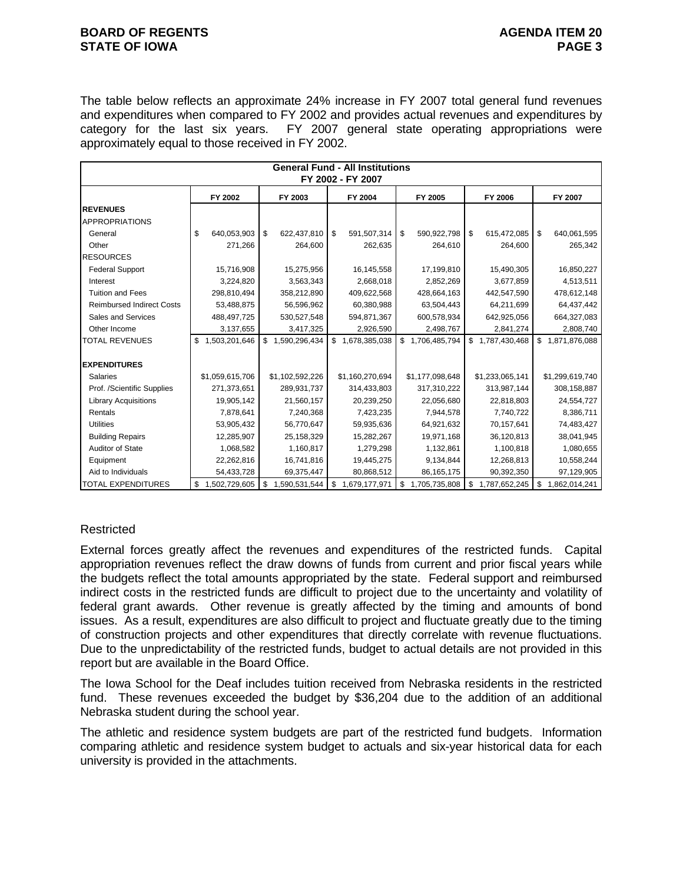#### **BOARD OF REGENTS AGENUS AGENDA ITEM 20 STATE OF IOWA** PAGE 3

The table below reflects an approximate 24% increase in FY 2007 total general fund revenues and expenditures when compared to FY 2002 and provides actual revenues and expenditures by category for the last six years. FY 2007 general state operating appropriations were approximately equal to those received in FY 2002.

|                                  |                     |                     | <b>General Fund - All Institutions</b><br>FY 2002 - FY 2007 |                     |                     |                     |
|----------------------------------|---------------------|---------------------|-------------------------------------------------------------|---------------------|---------------------|---------------------|
|                                  | FY 2002             | FY 2003             | FY 2004                                                     | FY 2005             | FY 2006             | FY 2007             |
| <b>REVENUES</b>                  |                     |                     |                                                             |                     |                     |                     |
| <b>APPROPRIATIONS</b>            |                     |                     |                                                             |                     |                     |                     |
| General                          | \$<br>640,053,903   | \$<br>622,437,810   | \$<br>591,507,314                                           | \$<br>590,922,798   | \$<br>615,472,085   | \$<br>640,061,595   |
| Other                            | 271,266             | 264,600             | 262,635                                                     | 264,610             | 264,600             | 265,342             |
| <b>RESOURCES</b>                 |                     |                     |                                                             |                     |                     |                     |
| <b>Federal Support</b>           | 15,716,908          | 15,275,956          | 16,145,558                                                  | 17,199,810          | 15,490,305          | 16,850,227          |
| Interest                         | 3,224,820           | 3,563,343           | 2,668,018                                                   | 2,852,269           | 3,677,859           | 4,513,511           |
| <b>Tuition and Fees</b>          | 298,810,494         | 358,212,890         | 409,622,568                                                 | 428,664,163         | 442,547,590         | 478,612,148         |
| <b>Reimbursed Indirect Costs</b> | 53,488,875          | 56,596,962          | 60,380,988                                                  | 63,504,443          | 64,211,699          | 64,437,442          |
| Sales and Services               | 488, 497, 725       | 530,527,548         | 594,871,367                                                 | 600,578,934         | 642,925,056         | 664,327,083         |
| Other Income                     | 3,137,655           | 3,417,325           | 2,926,590                                                   | 2,498,767           | 2,841,274           | 2,808,740           |
| <b>TOTAL REVENUES</b>            | 1,503,201,646<br>\$ | \$1,590,296,434     | \$1,678,385,038                                             | \$1,706,485,794     | \$1,787,430,468     | 1,871,876,088<br>\$ |
| <b>EXPENDITURES</b>              |                     |                     |                                                             |                     |                     |                     |
| <b>Salaries</b>                  | \$1,059,615,706     | \$1,102,592,226     | \$1,160,270,694                                             | \$1,177,098,648     | \$1,233,065,141     | \$1,299,619,740     |
| Prof. /Scientific Supplies       | 271,373,651         | 289,931,737         | 314,433,803                                                 | 317,310,222         | 313,987,144         | 308,158,887         |
| <b>Library Acquisitions</b>      | 19,905,142          | 21,560,157          | 20,239,250                                                  | 22,056,680          | 22,818,803          | 24,554,727          |
| Rentals                          | 7,878,641           | 7,240,368           | 7,423,235                                                   | 7,944,578           | 7,740,722           | 8,386,711           |
| <b>Utilities</b>                 | 53,905,432          | 56,770,647          | 59,935,636                                                  | 64,921,632          | 70,157,641          | 74,483,427          |
| <b>Building Repairs</b>          | 12,285,907          | 25,158,329          | 15,282,267                                                  | 19,971,168          | 36,120,813          | 38,041,945          |
| <b>Auditor of State</b>          | 1,068,582           | 1,160,817           | 1,279,298                                                   | 1,132,861           | 1,100,818           | 1,080,655           |
| Equipment                        | 22,262,816          | 16,741,816          | 19,445,275                                                  | 9,134,844           | 12,268,813          | 10,558,244          |
| Aid to Individuals               | 54,433,728          | 69,375,447          | 80,868,512                                                  | 86, 165, 175        | 90,392,350          | 97,129,905          |
| <b>TOTAL EXPENDITURES</b>        | 1,502,729,605<br>\$ | 1,590,531,544<br>\$ | \$<br>1,679,177,971                                         | 1,705,735,808<br>\$ | \$<br>1,787,652,245 | \$<br>1,862,014,241 |

# **Restricted**

External forces greatly affect the revenues and expenditures of the restricted funds. Capital appropriation revenues reflect the draw downs of funds from current and prior fiscal years while the budgets reflect the total amounts appropriated by the state. Federal support and reimbursed indirect costs in the restricted funds are difficult to project due to the uncertainty and volatility of federal grant awards. Other revenue is greatly affected by the timing and amounts of bond issues. As a result, expenditures are also difficult to project and fluctuate greatly due to the timing of construction projects and other expenditures that directly correlate with revenue fluctuations. Due to the unpredictability of the restricted funds, budget to actual details are not provided in this report but are available in the Board Office.

The Iowa School for the Deaf includes tuition received from Nebraska residents in the restricted fund. These revenues exceeded the budget by \$36,204 due to the addition of an additional Nebraska student during the school year.

The athletic and residence system budgets are part of the restricted fund budgets. Information comparing athletic and residence system budget to actuals and six-year historical data for each university is provided in the attachments.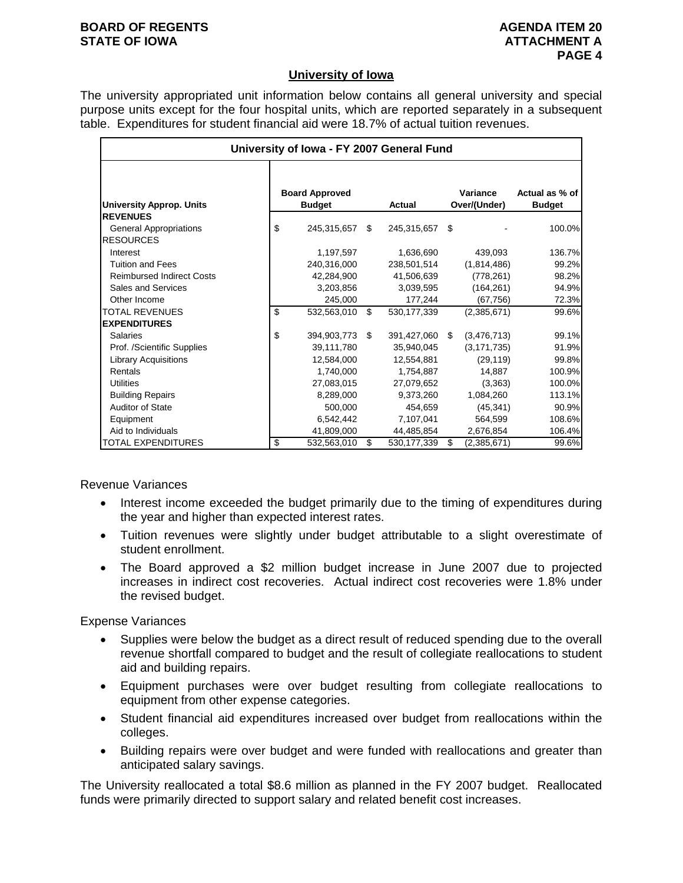#### **BOARD OF REGENTS AGENUS AGENDA ITEM 20 STATE OF IOWA ATTACHMENT A**

### **University of Iowa**

The university appropriated unit information below contains all general university and special purpose units except for the four hospital units, which are reported separately in a subsequent table. Expenditures for student financial aid were 18.7% of actual tuition revenues.

| University of Iowa - FY 2007 General Fund         |    |                                        |    |                |    |                          |                                 |  |  |  |  |
|---------------------------------------------------|----|----------------------------------------|----|----------------|----|--------------------------|---------------------------------|--|--|--|--|
| <b>University Approp. Units</b>                   |    | <b>Board Approved</b><br><b>Budget</b> |    | <b>Actual</b>  |    | Variance<br>Over/(Under) | Actual as % of<br><b>Budget</b> |  |  |  |  |
| <b>REVENUES</b>                                   |    |                                        |    |                |    |                          |                                 |  |  |  |  |
| <b>General Appropriations</b><br><b>RESOURCES</b> | \$ | 245,315,657 \$                         |    | 245,315,657 \$ |    |                          | 100.0%                          |  |  |  |  |
| Interest                                          |    | 1,197,597                              |    | 1,636,690      |    | 439,093                  | 136.7%                          |  |  |  |  |
| <b>Tuition and Fees</b>                           |    | 240.316.000                            |    | 238,501,514    |    | (1,814,486)              | 99.2%                           |  |  |  |  |
| <b>Reimbursed Indirect Costs</b>                  |    | 42,284,900                             |    | 41,506,639     |    | (778, 261)               | 98.2%                           |  |  |  |  |
| <b>Sales and Services</b>                         |    | 3,203,856                              |    | 3,039,595      |    | (164, 261)               | 94.9%                           |  |  |  |  |
| Other Income                                      |    | 245.000                                |    | 177,244        |    | (67, 756)                | 72.3%                           |  |  |  |  |
| <b>TOTAL REVENUES</b>                             | \$ | 532.563.010                            | \$ | 530, 177, 339  |    | (2,385,671)              | 99.6%                           |  |  |  |  |
| <b>EXPENDITURES</b>                               |    |                                        |    |                |    |                          |                                 |  |  |  |  |
| <b>Salaries</b>                                   | \$ | 394,903,773 \$                         |    | 391,427,060 \$ |    | (3,476,713)              | 99.1%                           |  |  |  |  |
| Prof. /Scientific Supplies                        |    | 39,111,780                             |    | 35,940,045     |    | (3, 171, 735)            | 91.9%                           |  |  |  |  |
| <b>Library Acquisitions</b>                       |    | 12,584,000                             |    | 12,554,881     |    | (29, 119)                | 99.8%                           |  |  |  |  |
| Rentals                                           |    | 1,740,000                              |    | 1,754,887      |    | 14,887                   | 100.9%                          |  |  |  |  |
| Utilities                                         |    | 27,083,015                             |    | 27,079,652     |    | (3,363)                  | 100.0%                          |  |  |  |  |
| <b>Building Repairs</b>                           |    | 8,289,000                              |    | 9,373,260      |    | 1,084,260                | 113.1%                          |  |  |  |  |
| <b>Auditor of State</b>                           |    | 500,000                                |    | 454,659        |    | (45, 341)                | 90.9%                           |  |  |  |  |
| Equipment                                         |    | 6,542,442                              |    | 7.107.041      |    | 564,599                  | 108.6%                          |  |  |  |  |
| Aid to Individuals                                |    | 41,809,000                             |    | 44,485,854     |    | 2,676,854                | 106.4%                          |  |  |  |  |
| <b>TOTAL EXPENDITURES</b>                         | \$ | 532,563,010                            | \$ | 530, 177, 339  | \$ | (2,385,671)              | 99.6%                           |  |  |  |  |

Revenue Variances

- Interest income exceeded the budget primarily due to the timing of expenditures during the year and higher than expected interest rates.
- Tuition revenues were slightly under budget attributable to a slight overestimate of student enrollment.
- The Board approved a \$2 million budget increase in June 2007 due to projected increases in indirect cost recoveries. Actual indirect cost recoveries were 1.8% under the revised budget.

Expense Variances

- Supplies were below the budget as a direct result of reduced spending due to the overall revenue shortfall compared to budget and the result of collegiate reallocations to student aid and building repairs.
- Equipment purchases were over budget resulting from collegiate reallocations to equipment from other expense categories.
- Student financial aid expenditures increased over budget from reallocations within the colleges.
- Building repairs were over budget and were funded with reallocations and greater than anticipated salary savings.

The University reallocated a total \$8.6 million as planned in the FY 2007 budget. Reallocated funds were primarily directed to support salary and related benefit cost increases.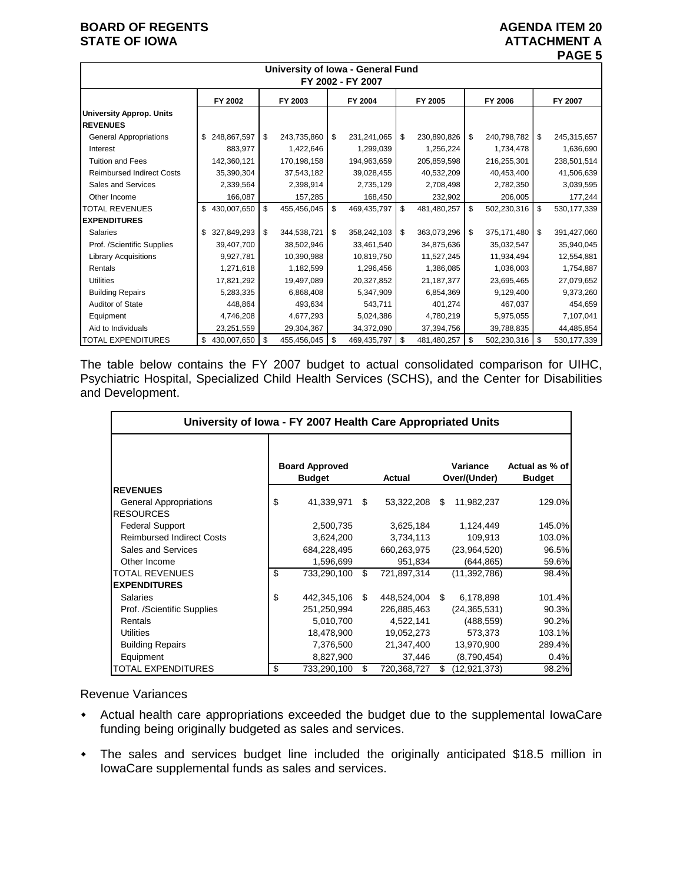## **BOARD OF REGENTS AGENUS AGENDA ITEM 20 STATE OF IOWA ATTACHMENT A**

|                                                    | University of Iowa - General Fund<br>FY 2002 - FY 2007 |     |             |    |             |    |              |    |             |    |               |  |
|----------------------------------------------------|--------------------------------------------------------|-----|-------------|----|-------------|----|--------------|----|-------------|----|---------------|--|
|                                                    | FY 2002                                                |     | FY 2003     |    | FY 2004     |    | FY 2005      |    | FY 2006     |    | FY 2007       |  |
| <b>University Approp. Units</b><br><b>REVENUES</b> |                                                        |     |             |    |             |    |              |    |             |    |               |  |
| <b>General Appropriations</b>                      | 248,867,597<br>\$                                      | \$  | 243,735,860 | \$ | 231,241,065 | \$ | 230,890,826  | \$ | 240,798,782 | \$ | 245,315,657   |  |
| Interest                                           | 883.977                                                |     | 1,422,646   |    | 1,299,039   |    | 1,256,224    |    | 1,734,478   |    | 1,636,690     |  |
| <b>Tuition and Fees</b>                            | 142,360,121                                            |     | 170,198,158 |    | 194,963,659 |    | 205,859,598  |    | 216,255,301 |    | 238,501,514   |  |
| <b>Reimbursed Indirect Costs</b>                   | 35,390,304                                             |     | 37,543,182  |    | 39,028,455  |    | 40,532,209   |    | 40,453,400  |    | 41,506,639    |  |
| Sales and Services                                 | 2,339,564                                              |     | 2,398,914   |    | 2,735,129   |    | 2,708,498    |    | 2,782,350   |    | 3,039,595     |  |
| Other Income                                       | 166,087                                                |     | 157,285     |    | 168,450     |    | 232,902      |    | 206,005     |    | 177,244       |  |
| <b>TOTAL REVENUES</b>                              | \$<br>430,007,650                                      | \$  | 455,456,045 | \$ | 469,435,797 | \$ | 481,480,257  | \$ | 502,230,316 | \$ | 530, 177, 339 |  |
| <b>EXPENDITURES</b>                                |                                                        |     |             |    |             |    |              |    |             |    |               |  |
| <b>Salaries</b>                                    | \$<br>327,849,293                                      | \$  | 344,538,721 | \$ | 358,242,103 | \$ | 363,073,296  | \$ | 375,171,480 | \$ | 391,427,060   |  |
| Prof. /Scientific Supplies                         | 39,407,700                                             |     | 38,502,946  |    | 33,461,540  |    | 34,875,636   |    | 35,032,547  |    | 35,940,045    |  |
| <b>Library Acquisitions</b>                        | 9,927,781                                              |     | 10,390,988  |    | 10,819,750  |    | 11,527,245   |    | 11,934,494  |    | 12,554,881    |  |
| Rentals                                            | 1,271,618                                              |     | 1,182,599   |    | 1,296,456   |    | 1,386,085    |    | 1,036,003   |    | 1,754,887     |  |
| <b>Utilities</b>                                   | 17,821,292                                             |     | 19,497,089  |    | 20,327,852  |    | 21, 187, 377 |    | 23,695,465  |    | 27,079,652    |  |
| <b>Building Repairs</b>                            | 5,283,335                                              |     | 6,868,408   |    | 5,347,909   |    | 6,854,369    |    | 9,129,400   |    | 9,373,260     |  |
| <b>Auditor of State</b>                            | 448,864                                                |     | 493.634     |    | 543,711     |    | 401,274      |    | 467,037     |    | 454,659       |  |
| Equipment                                          | 4,746,208                                              |     | 4,677,293   |    | 5,024,386   |    | 4,780,219    |    | 5,975,055   |    | 7,107,041     |  |
| Aid to Individuals                                 | 23,251,559                                             |     | 29,304,367  |    | 34,372,090  |    | 37,394,756   |    | 39,788,835  |    | 44,485,854    |  |
| <b>TOTAL EXPENDITURES</b>                          | 430,007,650<br>\$                                      | -\$ | 455,456,045 | \$ | 469,435,797 | \$ | 481,480,257  | \$ | 502,230,316 | \$ | 530, 177, 339 |  |

The table below contains the FY 2007 budget to actual consolidated comparison for UIHC, Psychiatric Hospital, Specialized Child Health Services (SCHS), and the Center for Disabilities and Development.

| University of Iowa - FY 2007 Health Care Appropriated Units |    |                                        |    |             |    |                          |                                 |  |  |  |  |  |
|-------------------------------------------------------------|----|----------------------------------------|----|-------------|----|--------------------------|---------------------------------|--|--|--|--|--|
|                                                             |    | <b>Board Approved</b><br><b>Budget</b> |    | Actual      |    | Variance<br>Over/(Under) | Actual as % of<br><b>Budget</b> |  |  |  |  |  |
| <b>REVENUES</b>                                             |    |                                        |    |             |    |                          |                                 |  |  |  |  |  |
| <b>General Appropriations</b>                               | \$ | 41,339,971                             | \$ | 53,322,208  | S  | 11,982,237               | 129.0%                          |  |  |  |  |  |
| <b>RESOURCES</b>                                            |    |                                        |    |             |    |                          |                                 |  |  |  |  |  |
| <b>Federal Support</b>                                      |    | 2,500,735                              |    | 3,625,184   |    | 1,124,449                | 145.0%                          |  |  |  |  |  |
| <b>Reimbursed Indirect Costs</b>                            |    | 3,624,200                              |    | 3,734,113   |    | 109.913                  | 103.0%                          |  |  |  |  |  |
| Sales and Services                                          |    | 684,228,495                            |    | 660,263,975 |    | (23,964,520)             | 96.5%                           |  |  |  |  |  |
| Other Income                                                |    | 1,596,699                              |    | 951,834     |    | (644,865)                | 59.6%                           |  |  |  |  |  |
| <b>TOTAL REVENUES</b>                                       | \$ | 733,290,100                            | \$ | 721,897,314 |    | (11, 392, 786)           | 98.4%                           |  |  |  |  |  |
| <b>EXPENDITURES</b>                                         |    |                                        |    |             |    |                          |                                 |  |  |  |  |  |
| Salaries                                                    | \$ | 442,345,106                            | \$ | 448,524,004 | -S | 6,178,898                | 101.4%                          |  |  |  |  |  |
| Prof. /Scientific Supplies                                  |    | 251,250,994                            |    | 226,885,463 |    | (24, 365, 531)           | 90.3%                           |  |  |  |  |  |
| Rentals                                                     |    | 5,010,700                              |    | 4,522,141   |    | (488, 559)               | 90.2%                           |  |  |  |  |  |
| Utilities                                                   |    | 18,478,900                             |    | 19,052,273  |    | 573,373                  | 103.1%                          |  |  |  |  |  |
| <b>Building Repairs</b>                                     |    | 7,376,500                              |    | 21,347,400  |    | 13,970,900               | 289.4%                          |  |  |  |  |  |
| Equipment                                                   |    | 8,827,900                              |    | 37,446      |    | (8,790,454)              | 0.4%                            |  |  |  |  |  |
| TOTAL EXPENDITURES                                          | \$ | 733,290,100                            | S  | 720,368,727 | S  | (12,921,373)             | 98.2%                           |  |  |  |  |  |

Revenue Variances

- Actual health care appropriations exceeded the budget due to the supplemental IowaCare funding being originally budgeted as sales and services.
- The sales and services budget line included the originally anticipated \$18.5 million in IowaCare supplemental funds as sales and services.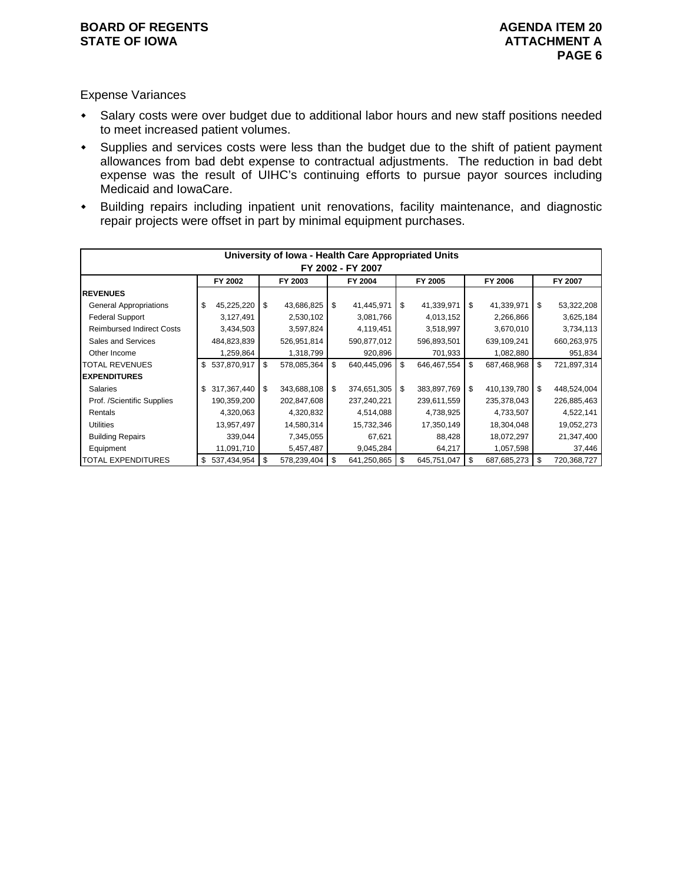## Expense Variances

- Salary costs were over budget due to additional labor hours and new staff positions needed to meet increased patient volumes.
- Supplies and services costs were less than the budget due to the shift of patient payment allowances from bad debt expense to contractual adjustments. The reduction in bad debt expense was the result of UIHC's continuing efforts to pursue payor sources including Medicaid and IowaCare.
- Building repairs including inpatient unit renovations, facility maintenance, and diagnostic repair projects were offset in part by minimal equipment purchases.

|                                  |    |             |    |             |    | University of Iowa - Health Care Appropriated Units |    |             |    |             |    |             |
|----------------------------------|----|-------------|----|-------------|----|-----------------------------------------------------|----|-------------|----|-------------|----|-------------|
| FY 2002 - FY 2007                |    |             |    |             |    |                                                     |    |             |    |             |    |             |
|                                  |    | FY 2002     |    | FY 2003     |    | FY 2004                                             |    | FY 2005     |    | FY 2006     |    | FY 2007     |
| <b>IREVENUES</b>                 |    |             |    |             |    |                                                     |    |             |    |             |    |             |
| <b>General Appropriations</b>    | \$ | 45,225,220  | \$ | 43,686,825  | \$ | 41,445,971                                          | \$ | 41,339,971  | \$ | 41,339,971  | \$ | 53,322,208  |
| <b>Federal Support</b>           |    | 3,127,491   |    | 2,530,102   |    | 3,081,766                                           |    | 4,013,152   |    | 2,266,866   |    | 3,625,184   |
| <b>Reimbursed Indirect Costs</b> |    | 3,434,503   |    | 3,597,824   |    | 4,119,451                                           |    | 3,518,997   |    | 3,670,010   |    | 3,734,113   |
| Sales and Services               |    | 484,823,839 |    | 526,951,814 |    | 590,877,012                                         |    | 596,893,501 |    | 639,109,241 |    | 660,263,975 |
| Other Income                     |    | 1,259,864   |    | 1,318,799   |    | 920,896                                             |    | 701,933     |    | 1,082,880   |    | 951,834     |
| <b>TOTAL REVENUES</b>            | \$ | 537,870,917 | \$ | 578,085,364 | \$ | 640,445,096                                         | \$ | 646,467,554 | \$ | 687,468,968 | \$ | 721,897,314 |
| <b>IEXPENDITURES</b>             |    |             |    |             |    |                                                     |    |             |    |             |    |             |
| <b>Salaries</b>                  | \$ | 317,367,440 | \$ | 343,688,108 | \$ | 374,651,305                                         | \$ | 383,897,769 | \$ | 410,139,780 | \$ | 448,524,004 |
| Prof. /Scientific Supplies       |    | 190,359,200 |    | 202,847,608 |    | 237,240,221                                         |    | 239,611,559 |    | 235,378,043 |    | 226,885,463 |
| Rentals                          |    | 4,320,063   |    | 4,320,832   |    | 4,514,088                                           |    | 4,738,925   |    | 4,733,507   |    | 4,522,141   |
| <b>Utilities</b>                 |    | 13,957,497  |    | 14,580,314  |    | 15,732,346                                          |    | 17,350,149  |    | 18,304,048  |    | 19,052,273  |
| <b>Building Repairs</b>          |    | 339,044     |    | 7,345,055   |    | 67,621                                              |    | 88,428      |    | 18,072,297  |    | 21,347,400  |
| Equipment                        |    | 11,091,710  |    | 5,457,487   |    | 9,045,284                                           |    | 64,217      |    | 1,057,598   |    | 37,446      |
| <b>TOTAL EXPENDITURES</b>        | \$ | 537,434,954 | \$ | 578,239,404 | \$ | 641,250,865                                         | \$ | 645,751,047 | \$ | 687,685,273 | \$ | 720,368,727 |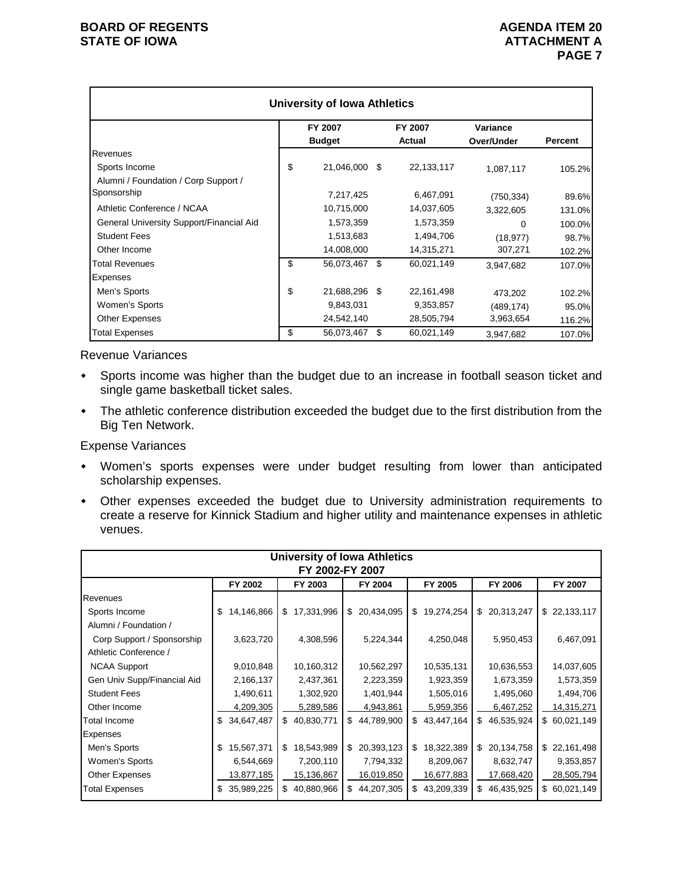|                                          | <b>University of Iowa Athletics</b> |    |            |            |                |
|------------------------------------------|-------------------------------------|----|------------|------------|----------------|
|                                          | FY 2007                             |    | FY 2007    | Variance   |                |
|                                          | <b>Budget</b>                       |    | Actual     | Over/Under | <b>Percent</b> |
| Revenues                                 |                                     |    |            |            |                |
| Sports Income                            | \$<br>21,046,000                    | S  | 22,133,117 | 1,087,117  | 105.2%         |
| Alumni / Foundation / Corp Support /     |                                     |    |            |            |                |
| Sponsorship                              | 7,217,425                           |    | 6,467,091  | (750, 334) | 89.6%          |
| Athletic Conference / NCAA               | 10,715,000                          |    | 14,037,605 | 3,322,605  | 131.0%         |
| General University Support/Financial Aid | 1,573,359                           |    | 1,573,359  | 0          | 100.0%         |
| <b>Student Fees</b>                      | 1,513,683                           |    | 1,494,706  | (18, 977)  | 98.7%          |
| Other Income                             | 14,008,000                          |    | 14,315,271 | 307,271    | 102.2%         |
| <b>Total Revenues</b>                    | \$<br>56,073,467 \$                 |    | 60,021,149 | 3,947,682  | 107.0%         |
| <b>Expenses</b>                          |                                     |    |            |            |                |
| Men's Sports                             | \$<br>21,688,296 \$                 |    | 22,161,498 | 473,202    | 102.2%         |
| Women's Sports                           | 9,843,031                           |    | 9,353,857  | (489, 174) | 95.0%          |
| <b>Other Expenses</b>                    | 24,542,140                          |    | 28,505,794 | 3,963,654  | 116.2%         |
| <b>Total Expenses</b>                    | \$<br>56,073,467                    | \$ | 60,021,149 | 3.947.682  | 107.0%         |

Revenue Variances

- Sports income was higher than the budget due to an increase in football season ticket and single game basketball ticket sales.
- The athletic conference distribution exceeded the budget due to the first distribution from the Big Ten Network.

Expense Variances

- Women's sports expenses were under budget resulting from lower than anticipated scholarship expenses.
- Other expenses exceeded the budget due to University administration requirements to create a reserve for Kinnick Stadium and higher utility and maintenance expenses in athletic venues.

|                             |                  |                  | University of Iowa Athletics |                  |                  |              |  |  |  |  |  |  |
|-----------------------------|------------------|------------------|------------------------------|------------------|------------------|--------------|--|--|--|--|--|--|
| FY 2002-FY 2007             |                  |                  |                              |                  |                  |              |  |  |  |  |  |  |
|                             | FY 2002          | FY 2003          | FY 2004                      | FY 2005          | FY 2006          | FY 2007      |  |  |  |  |  |  |
| Revenues                    |                  |                  |                              |                  |                  |              |  |  |  |  |  |  |
| Sports Income               | 14,146,866<br>\$ | 17,331,996<br>\$ | \$ 20,434,095                | \$19,274,254     | \$<br>20,313,247 | \$22,133,117 |  |  |  |  |  |  |
| Alumni / Foundation /       |                  |                  |                              |                  |                  |              |  |  |  |  |  |  |
| Corp Support / Sponsorship  | 3,623,720        | 4,308,596        | 5,224,344                    | 4,250,048        | 5,950,453        | 6,467,091    |  |  |  |  |  |  |
| Athletic Conference /       |                  |                  |                              |                  |                  |              |  |  |  |  |  |  |
| <b>NCAA Support</b>         | 9,010,848        | 10,160,312       | 10,562,297                   | 10,535,131       | 10,636,553       | 14,037,605   |  |  |  |  |  |  |
| Gen Univ Supp/Financial Aid | 2,166,137        | 2,437,361        | 2,223,359                    | 1,923,359        | 1,673,359        | 1,573,359    |  |  |  |  |  |  |
| <b>Student Fees</b>         | 1,490,611        | 1,302,920        | 1,401,944                    | 1,505,016        | 1,495,060        | 1,494,706    |  |  |  |  |  |  |
| Other Income                | 4,209,305        | 5,289,586        | 4,943,861                    | 5,959,356        | 6,467,252        | 14,315,271   |  |  |  |  |  |  |
| Total Income                | \$34,647,487     | \$<br>40,830,771 | \$44,789,900                 | \$43,447,164     | 46,535,924<br>\$ | \$60,021,149 |  |  |  |  |  |  |
| Expenses                    |                  |                  |                              |                  |                  |              |  |  |  |  |  |  |
| Men's Sports                | 15,567,371<br>\$ | 18,543,989<br>\$ | \$20,393,123                 | 18,322,389<br>\$ | 20,134,758<br>\$ | \$22,161,498 |  |  |  |  |  |  |
| Women's Sports              | 6,544,669        | 7,200,110        | 7,794,332                    | 8,209,067        | 8,632,747        | 9,353,857    |  |  |  |  |  |  |
| <b>Other Expenses</b>       | 13,877,185       | 15,136,867       | 16,019,850                   | 16,677,883       | 17,668,420       | 28,505,794   |  |  |  |  |  |  |
| <b>Total Expenses</b>       | 35,989,225<br>\$ | \$<br>40,880,966 | \$44,207,305                 | \$43,209,339     | \$<br>46,435,925 | \$60,021,149 |  |  |  |  |  |  |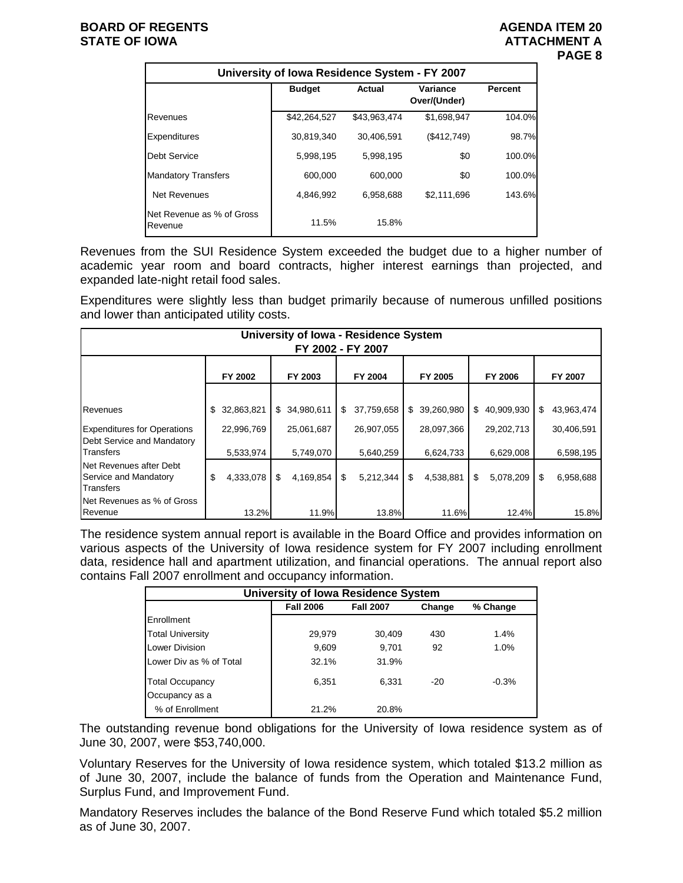|                                      | University of Iowa Residence System - FY 2007 |              |                          |                |  |  |  |  |  |  |  |  |  |
|--------------------------------------|-----------------------------------------------|--------------|--------------------------|----------------|--|--|--|--|--|--|--|--|--|
|                                      | <b>Budget</b>                                 | Actual       | Variance<br>Over/(Under) | <b>Percent</b> |  |  |  |  |  |  |  |  |  |
| Revenues                             | \$42,264,527                                  | \$43,963,474 | \$1,698,947              | 104.0%         |  |  |  |  |  |  |  |  |  |
| Expenditures                         | 30,819,340                                    | 30,406,591   | (\$412,749)              | 98.7%          |  |  |  |  |  |  |  |  |  |
| Debt Service                         | 5.998.195                                     | 5.998.195    | \$0                      | 100.0%         |  |  |  |  |  |  |  |  |  |
| <b>Mandatory Transfers</b>           | 600.000                                       | 600.000      | \$0                      | 100.0%         |  |  |  |  |  |  |  |  |  |
| <b>Net Revenues</b>                  | 4.846.992                                     | 6,958,688    | \$2,111,696              | 143.6%         |  |  |  |  |  |  |  |  |  |
| Net Revenue as % of Gross<br>Revenue | 11.5%                                         | 15.8%        |                          |                |  |  |  |  |  |  |  |  |  |

Revenues from the SUI Residence System exceeded the budget due to a higher number of academic year room and board contracts, higher interest earnings than projected, and expanded late-night retail food sales.

Expenditures were slightly less than budget primarily because of numerous unfilled positions and lower than anticipated utility costs.

| <b>University of Iowa - Residence System</b><br>FY 2002 - FY 2007 |                  |       |                  |    |            |    |            |    |              |    |            |  |
|-------------------------------------------------------------------|------------------|-------|------------------|----|------------|----|------------|----|--------------|----|------------|--|
|                                                                   | FY 2002          |       | FY 2003          |    | FY 2004    |    | FY 2005    |    | FY 2006      |    | FY 2007    |  |
|                                                                   |                  |       |                  |    |            |    |            |    |              |    |            |  |
| Revenues                                                          | 32,863,821<br>\$ |       | 34,980,611<br>\$ | \$ | 37,759,658 | \$ | 39,260,980 | \$ | 40,909,930   | \$ | 43,963,474 |  |
| <b>Expenditures for Operations</b><br>Debt Service and Mandatory  | 22,996,769       |       | 25,061,687       |    | 26,907,055 |    | 28,097,366 |    | 29, 202, 713 |    | 30,406,591 |  |
| Transfers                                                         | 5,533,974        |       | 5,749,070        |    | 5,640,259  |    | 6,624,733  |    | 6,629,008    |    | 6,598,195  |  |
| Net Revenues after Debt<br>Service and Mandatory<br>Transfers     | \$<br>4,333,078  | \$    | 4,169,854        | \$ | 5,212,344  | \$ | 4,538,881  | \$ | 5,078,209    | \$ | 6,958,688  |  |
| Net Revenues as % of Gross<br>Revenue                             |                  | 13.2% | 11.9%            |    | 13.8%      |    | 11.6%      |    | 12.4%        |    | 15.8%      |  |

The residence system annual report is available in the Board Office and provides information on various aspects of the University of Iowa residence system for FY 2007 including enrollment data, residence hall and apartment utilization, and financial operations. The annual report also contains Fall 2007 enrollment and occupancy information.

| University of Iowa Residence System |                  |                  |        |          |  |  |  |  |  |  |  |
|-------------------------------------|------------------|------------------|--------|----------|--|--|--|--|--|--|--|
|                                     | <b>Fall 2006</b> | <b>Fall 2007</b> | Change | % Change |  |  |  |  |  |  |  |
| Enrollment                          |                  |                  |        |          |  |  |  |  |  |  |  |
| <b>Total University</b>             | 29,979           | 30,409           | 430    | 1.4%     |  |  |  |  |  |  |  |
| Lower Division                      | 9,609            | 9.701            | 92     | $1.0\%$  |  |  |  |  |  |  |  |
| Lower Div as % of Total             | 32.1%            | 31.9%            |        |          |  |  |  |  |  |  |  |
| <b>Total Occupancy</b>              | 6,351            | 6.331            | $-20$  | $-0.3%$  |  |  |  |  |  |  |  |
| Occupancy as a                      |                  |                  |        |          |  |  |  |  |  |  |  |
| % of Enrollment                     | 21.2%            | 20.8%            |        |          |  |  |  |  |  |  |  |

The outstanding revenue bond obligations for the University of Iowa residence system as of June 30, 2007, were \$53,740,000.

Voluntary Reserves for the University of Iowa residence system, which totaled \$13.2 million as of June 30, 2007, include the balance of funds from the Operation and Maintenance Fund, Surplus Fund, and Improvement Fund.

Mandatory Reserves includes the balance of the Bond Reserve Fund which totaled \$5.2 million as of June 30, 2007.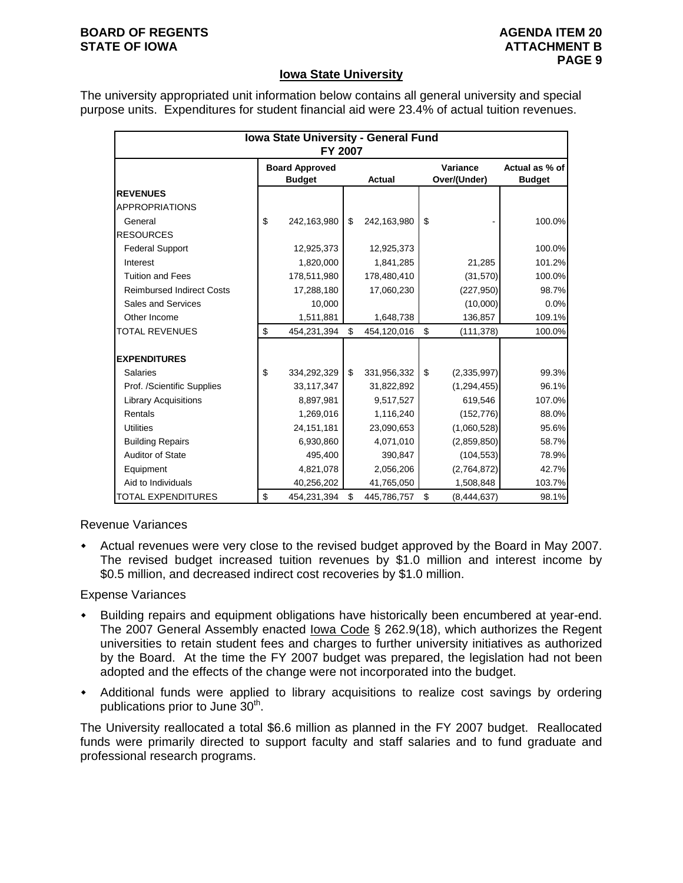#### **BOARD OF REGENTS AGENUS AGENDA ITEM 20 STATE OF IOWA ATTACHMENT B**

## **Iowa State University**

The university appropriated unit information below contains all general university and special purpose units. Expenditures for student financial aid were 23.4% of actual tuition revenues.

|                                  | Iowa State University - General Fund<br><b>FY 2007</b> |                   |                          |                                 |
|----------------------------------|--------------------------------------------------------|-------------------|--------------------------|---------------------------------|
|                                  | <b>Board Approved</b><br><b>Budget</b>                 | <b>Actual</b>     | Variance<br>Over/(Under) | Actual as % of<br><b>Budget</b> |
| <b>REVENUES</b>                  |                                                        |                   |                          |                                 |
| <b>APPROPRIATIONS</b>            |                                                        |                   |                          |                                 |
| General                          | \$<br>242,163,980                                      | \$<br>242,163,980 | \$                       | 100.0%                          |
| <b>RESOURCES</b>                 |                                                        |                   |                          |                                 |
| <b>Federal Support</b>           | 12,925,373                                             | 12,925,373        |                          | 100.0%                          |
| Interest                         | 1,820,000                                              | 1,841,285         | 21,285                   | 101.2%                          |
| <b>Tuition and Fees</b>          | 178,511,980                                            | 178,480,410       | (31, 570)                | 100.0%                          |
| <b>Reimbursed Indirect Costs</b> | 17,288,180                                             | 17,060,230        | (227, 950)               | 98.7%                           |
| Sales and Services               | 10,000                                                 |                   | (10,000)                 | 0.0%                            |
| Other Income                     | 1,511,881                                              | 1,648,738         | 136,857                  | 109.1%                          |
| <b>TOTAL REVENUES</b>            | \$<br>454,231,394                                      | \$<br>454,120,016 | \$<br>(111,378)          | 100.0%                          |
|                                  |                                                        |                   |                          |                                 |
| <b>EXPENDITURES</b>              |                                                        |                   |                          |                                 |
| <b>Salaries</b>                  | \$<br>334,292,329                                      | \$<br>331,956,332 | \$<br>(2,335,997)        | 99.3%                           |
| Prof. /Scientific Supplies       | 33,117,347                                             | 31,822,892        | (1, 294, 455)            | 96.1%                           |
| <b>Library Acquisitions</b>      | 8,897,981                                              | 9,517,527         | 619,546                  | 107.0%                          |
| Rentals                          | 1,269,016                                              | 1,116,240         | (152, 776)               | 88.0%                           |
| <b>Utilities</b>                 | 24,151,181                                             | 23,090,653        | (1,060,528)              | 95.6%                           |
| <b>Building Repairs</b>          | 6,930,860                                              | 4,071,010         | (2,859,850)              | 58.7%                           |
| <b>Auditor of State</b>          | 495,400                                                | 390,847           | (104, 553)               | 78.9%                           |
| Equipment                        | 4,821,078                                              | 2,056,206         | (2,764,872)              | 42.7%                           |
| Aid to Individuals               | 40,256,202                                             | 41,765,050        | 1,508,848                | 103.7%                          |
| TOTAL EXPENDITURES               | \$<br>454,231,394                                      | \$<br>445,786,757 | \$<br>(8,444,637)        | 98.1%                           |

Revenue Variances

 Actual revenues were very close to the revised budget approved by the Board in May 2007. The revised budget increased tuition revenues by \$1.0 million and interest income by \$0.5 million, and decreased indirect cost recoveries by \$1.0 million.

### Expense Variances

- Building repairs and equipment obligations have historically been encumbered at year-end. The 2007 General Assembly enacted Iowa Code § 262.9(18), which authorizes the Regent universities to retain student fees and charges to further university initiatives as authorized by the Board. At the time the FY 2007 budget was prepared, the legislation had not been adopted and the effects of the change were not incorporated into the budget.
- Additional funds were applied to library acquisitions to realize cost savings by ordering publications prior to June  $30<sup>th</sup>$ .

The University reallocated a total \$6.6 million as planned in the FY 2007 budget. Reallocated funds were primarily directed to support faculty and staff salaries and to fund graduate and professional research programs.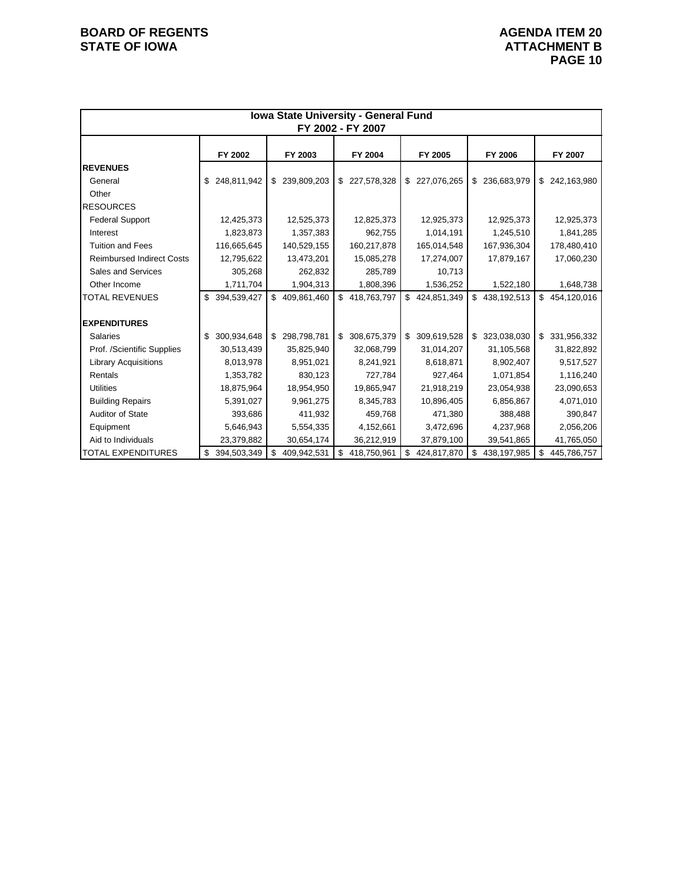|                                  |                   |                   | Iowa State University - General Fund<br>FY 2002 - FY 2007 |                   |                     |                   |
|----------------------------------|-------------------|-------------------|-----------------------------------------------------------|-------------------|---------------------|-------------------|
|                                  | FY 2002           | FY 2003           | FY 2004                                                   | FY 2005           | FY 2006             | FY 2007           |
| <b>REVENUES</b>                  |                   |                   |                                                           |                   |                     |                   |
| General                          | 248,811,942<br>\$ | \$239,809,203     | 227,578,328<br>\$                                         | \$ 227,076,265    | \$<br>236,683,979   | 242,163,980<br>\$ |
| Other                            |                   |                   |                                                           |                   |                     |                   |
| <b>RESOURCES</b>                 |                   |                   |                                                           |                   |                     |                   |
| <b>Federal Support</b>           | 12,425,373        | 12,525,373        | 12,825,373                                                | 12,925,373        | 12,925,373          | 12,925,373        |
| Interest                         | 1,823,873         | 1,357,383         | 962,755                                                   | 1,014,191         | 1,245,510           | 1,841,285         |
| <b>Tuition and Fees</b>          | 116,665,645       | 140,529,155       | 160,217,878                                               | 165,014,548       | 167,936,304         | 178,480,410       |
| <b>Reimbursed Indirect Costs</b> | 12,795,622        | 13,473,201        | 15,085,278                                                | 17,274,007        | 17,879,167          | 17,060,230        |
| Sales and Services               | 305,268           | 262,832           | 285,789                                                   | 10,713            |                     |                   |
| Other Income                     | 1,711,704         | 1,904,313         | 1,808,396                                                 | 1,536,252         | 1,522,180           | 1,648,738         |
| <b>TOTAL REVENUES</b>            | 394,539,427<br>\$ | \$409,861,460     | \$<br>418,763,797                                         | \$<br>424,851,349 | \$<br>438,192,513   | \$<br>454,120,016 |
| <b>EXPENDITURES</b>              |                   |                   |                                                           |                   |                     |                   |
| <b>Salaries</b>                  | 300,934,648<br>\$ | \$298,798,781     | 308,675,379<br>\$                                         | 309,619,528<br>\$ | 323,038,030<br>\$   | \$<br>331,956,332 |
| Prof. /Scientific Supplies       | 30,513,439        | 35,825,940        | 32,068,799                                                | 31,014,207        | 31,105,568          | 31,822,892        |
| <b>Library Acquisitions</b>      | 8,013,978         | 8,951,021         | 8,241,921                                                 | 8,618,871         | 8,902,407           | 9,517,527         |
| Rentals                          | 1,353,782         | 830,123           | 727,784                                                   | 927,464           | 1,071,854           | 1,116,240         |
| <b>Utilities</b>                 | 18,875,964        | 18,954,950        | 19,865,947                                                | 21,918,219        | 23,054,938          | 23,090,653        |
| <b>Building Repairs</b>          | 5,391,027         | 9,961,275         | 8,345,783                                                 | 10,896,405        | 6,856,867           | 4,071,010         |
| <b>Auditor of State</b>          | 393,686           | 411,932           | 459,768                                                   | 471,380           | 388,488             | 390,847           |
| Equipment                        | 5,646,943         | 5,554,335         | 4,152,661                                                 | 3,472,696         | 4,237,968           | 2,056,206         |
| Aid to Individuals               | 23,379,882        | 30,654,174        | 36,212,919                                                | 37,879,100        | 39,541,865          | 41,765,050        |
| <b>TOTAL EXPENDITURES</b>        | 394,503,349<br>\$ | 409,942,531<br>\$ | 418,750,961<br>\$                                         | \$<br>424,817,870 | 438, 197, 985<br>\$ | \$<br>445,786,757 |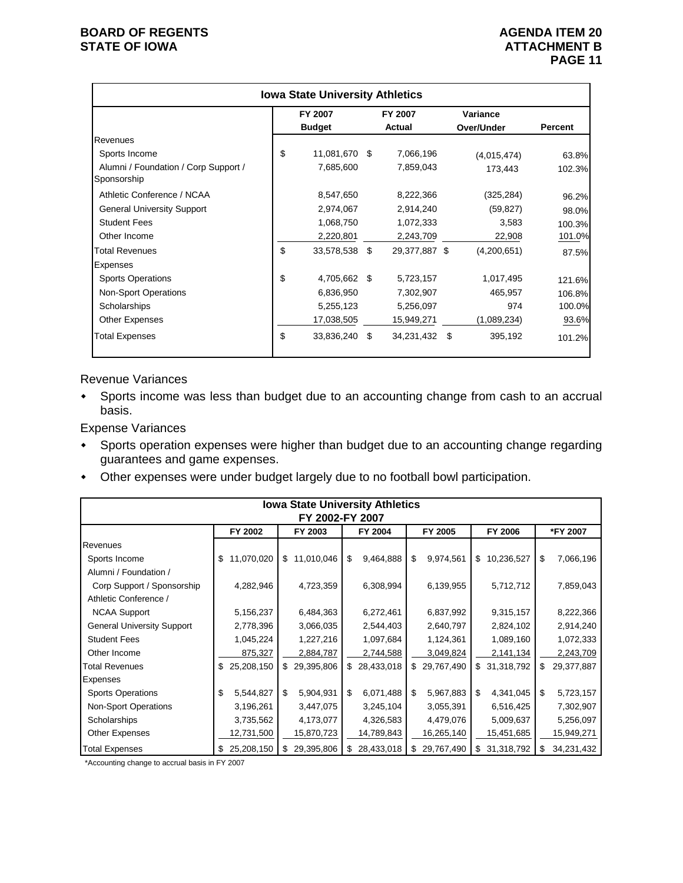|                                                     | <b>Iowa State University Athletics</b> |     |                   |      |                        |                |
|-----------------------------------------------------|----------------------------------------|-----|-------------------|------|------------------------|----------------|
|                                                     | FY 2007<br><b>Budget</b>               |     | FY 2007<br>Actual |      | Variance<br>Over/Under | <b>Percent</b> |
| Revenues                                            |                                        |     |                   |      |                        |                |
| Sports Income                                       | \$<br>11,081,670                       | -\$ | 7,066,196         |      | (4,015,474)            | 63.8%          |
| Alumni / Foundation / Corp Support /<br>Sponsorship | 7,685,600                              |     | 7,859,043         |      | 173,443                | 102.3%         |
| Athletic Conference / NCAA                          | 8,547,650                              |     | 8,222,366         |      | (325, 284)             | 96.2%          |
| <b>General University Support</b>                   | 2,974,067                              |     | 2,914,240         |      | (59, 827)              | 98.0%          |
| <b>Student Fees</b>                                 | 1,068,750                              |     | 1,072,333         |      | 3,583                  | 100.3%         |
| Other Income                                        | 2,220,801                              |     | 2,243,709         |      | 22,908                 | 101.0%         |
| <b>Total Revenues</b>                               | \$<br>33,578,538                       | \$  | 29,377,887 \$     |      | (4,200,651)            | 87.5%          |
| Expenses                                            |                                        |     |                   |      |                        |                |
| <b>Sports Operations</b>                            | \$<br>4,705,662 \$                     |     | 5,723,157         |      | 1,017,495              | 121.6%         |
| <b>Non-Sport Operations</b>                         | 6,836,950                              |     | 7,302,907         |      | 465,957                | 106.8%         |
| Scholarships                                        | 5,255,123                              |     | 5,256,097         |      | 974                    | 100.0%         |
| <b>Other Expenses</b>                               | 17,038,505                             |     | 15,949,271        |      | (1,089,234)            | 93.6%          |
| <b>Total Expenses</b>                               | \$<br>33,836,240                       | \$  | 34,231,432        | - \$ | 395,192                | 101.2%         |

Revenue Variances

 Sports income was less than budget due to an accounting change from cash to an accrual basis.

Expense Variances

- Sports operation expenses were higher than budget due to an accounting change regarding guarantees and game expenses.
- Other expenses were under budget largely due to no football bowl participation.

|                                   | <b>Iowa State University Athletics</b><br>FY 2002-FY 2007 |                  |                  |                 |                   |                  |  |  |  |  |  |  |  |  |
|-----------------------------------|-----------------------------------------------------------|------------------|------------------|-----------------|-------------------|------------------|--|--|--|--|--|--|--|--|
|                                   | FY 2002                                                   | FY 2003          | FY 2004          | FY 2005         | FY 2006           | *FY 2007         |  |  |  |  |  |  |  |  |
| Revenues                          |                                                           |                  |                  |                 |                   |                  |  |  |  |  |  |  |  |  |
| Sports Income                     | 11,070,020<br>\$                                          | 11,010,046<br>\$ | \$<br>9,464,888  | \$<br>9,974,561 | 10,236,527<br>\$  | \$<br>7,066,196  |  |  |  |  |  |  |  |  |
| Alumni / Foundation /             |                                                           |                  |                  |                 |                   |                  |  |  |  |  |  |  |  |  |
| Corp Support / Sponsorship        | 4,282,946                                                 | 4,723,359        | 6,308,994        | 6,139,955       | 5,712,712         | 7,859,043        |  |  |  |  |  |  |  |  |
| Athletic Conference /             |                                                           |                  |                  |                 |                   |                  |  |  |  |  |  |  |  |  |
| <b>NCAA Support</b>               | 5,156,237                                                 | 6,484,363        | 6,272,461        | 6,837,992       | 9,315,157         | 8,222,366        |  |  |  |  |  |  |  |  |
| <b>General University Support</b> | 2,778,396                                                 | 3,066,035        | 2,544,403        | 2,640,797       | 2,824,102         | 2,914,240        |  |  |  |  |  |  |  |  |
| <b>Student Fees</b>               | 1,045,224                                                 | 1,227,216        | 1,097,684        | 1,124,361       | 1,089,160         | 1,072,333        |  |  |  |  |  |  |  |  |
| Other Income                      | 875,327                                                   | 2,884,787        | 2,744,588        | 3,049,824       | 2,141,134         | 2,243,709        |  |  |  |  |  |  |  |  |
| <b>Total Revenues</b>             | 25,208,150<br>\$                                          | 29,395,806<br>\$ | 28,433,018<br>\$ | \$29,767,490    | 31,318,792<br>\$  | 29,377,887<br>\$ |  |  |  |  |  |  |  |  |
| Expenses                          |                                                           |                  |                  |                 |                   |                  |  |  |  |  |  |  |  |  |
| <b>Sports Operations</b>          | \$<br>5,544,827                                           | \$<br>5,904,931  | \$<br>6,071,488  | 5,967,883<br>\$ | \$<br>4,341,045   | \$<br>5,723,157  |  |  |  |  |  |  |  |  |
| <b>Non-Sport Operations</b>       | 3,196,261                                                 | 3,447,075        | 3,245,104        | 3,055,391       | 6,516,425         | 7,302,907        |  |  |  |  |  |  |  |  |
| Scholarships                      | 3,735,562                                                 | 4,173,077        | 4,326,583        | 4,479,076       | 5,009,637         | 5,256,097        |  |  |  |  |  |  |  |  |
| <b>Other Expenses</b>             | 12,731,500                                                | 15,870,723       | 14,789,843       | 16,265,140      | 15,451,685        | 15,949,271       |  |  |  |  |  |  |  |  |
| <b>Total Expenses</b>             | \$ 25,208,150                                             | 29,395,806<br>S  | 28,433,018<br>\$ | 29,767,490<br>S | 31,318,792<br>\$. | 34,231,432<br>S  |  |  |  |  |  |  |  |  |

\*Accounting change to accrual basis in FY 2007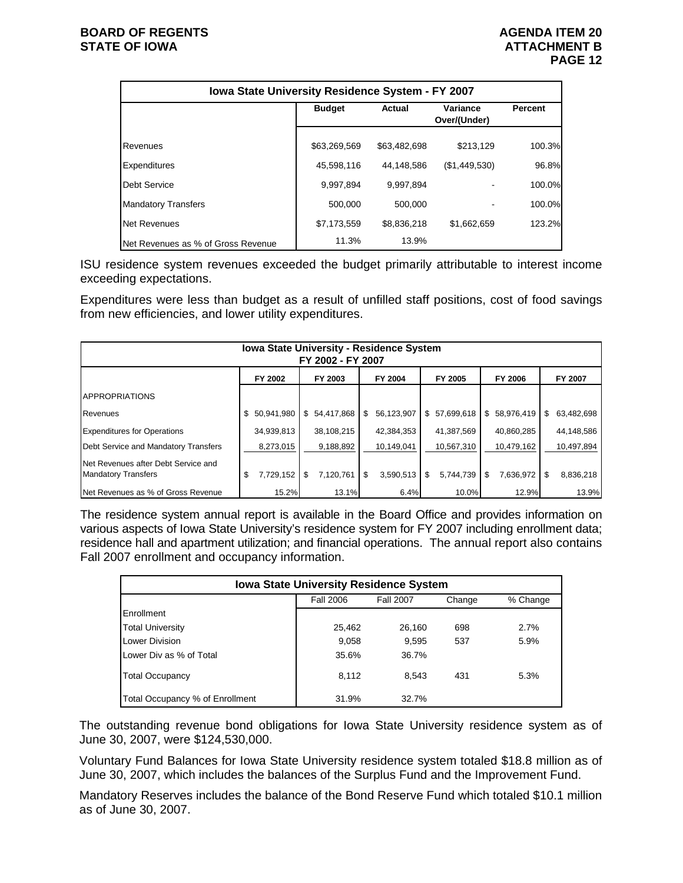|                                    | Iowa State University Residence System - FY 2007 |              |                                 |                |  |  |  |  |  |  |  |  |  |
|------------------------------------|--------------------------------------------------|--------------|---------------------------------|----------------|--|--|--|--|--|--|--|--|--|
|                                    | <b>Budget</b>                                    | Actual       | <b>Variance</b><br>Over/(Under) | <b>Percent</b> |  |  |  |  |  |  |  |  |  |
| <b>Revenues</b>                    | \$63,269,569                                     | \$63,482,698 | \$213.129                       | 100.3%         |  |  |  |  |  |  |  |  |  |
| <b>Expenditures</b>                | 45,598,116                                       | 44,148,586   | (\$1,449,530)                   | 96.8%          |  |  |  |  |  |  |  |  |  |
| <b>Debt Service</b>                | 9,997,894                                        | 9.997.894    |                                 | 100.0%         |  |  |  |  |  |  |  |  |  |
| <b>Mandatory Transfers</b>         | 500,000                                          | 500,000      |                                 | 100.0%         |  |  |  |  |  |  |  |  |  |
| <b>Net Revenues</b>                | \$7,173,559                                      | \$8,836,218  | \$1,662,659                     | 123.2%         |  |  |  |  |  |  |  |  |  |
| Net Revenues as % of Gross Revenue | 11.3%                                            | 13.9%        |                                 |                |  |  |  |  |  |  |  |  |  |

ISU residence system revenues exceeded the budget primarily attributable to interest income exceeding expectations.

Expenditures were less than budget as a result of unfilled staff positions, cost of food savings from new efficiencies, and lower utility expenditures.

|                                                                   | <b>Iowa State University - Residence System</b><br>FY 2002 - FY 2007 |                 |                  |                  |                 |                  |  |  |  |  |  |  |  |  |
|-------------------------------------------------------------------|----------------------------------------------------------------------|-----------------|------------------|------------------|-----------------|------------------|--|--|--|--|--|--|--|--|
|                                                                   | FY 2002                                                              | FY 2003         | FY 2004          | FY 2005          | FY 2006         | FY 2007          |  |  |  |  |  |  |  |  |
| <b>APPROPRIATIONS</b>                                             |                                                                      |                 |                  |                  |                 |                  |  |  |  |  |  |  |  |  |
| Revenues                                                          | \$50.941.980                                                         | \$54,417,868    | 56,123,907<br>\$ | 57,699,618<br>\$ | \$58,976,419    | 63,482,698<br>\$ |  |  |  |  |  |  |  |  |
| <b>Expenditures for Operations</b>                                | 34,939,813                                                           | 38,108,215      | 42.384.353       | 41,387,569       | 40.860.285      | 44,148,586       |  |  |  |  |  |  |  |  |
| Debt Service and Mandatory Transfers                              | 8,273,015                                                            | 9,188,892       | 10,149,041       | 10,567,310       | 10,479,162      | 10,497,894       |  |  |  |  |  |  |  |  |
| Net Revenues after Debt Service and<br><b>Mandatory Transfers</b> | \$<br>7,729,152                                                      | \$<br>7,120,761 | 3,590,513<br>\$  | 5,744,739<br>-SS | 7,636,972<br>\$ | \$<br>8,836,218  |  |  |  |  |  |  |  |  |
| Net Revenues as % of Gross Revenue                                | 15.2%                                                                | 13.1%           | 6.4%             | 10.0%            | 12.9%           | 13.9%            |  |  |  |  |  |  |  |  |

The residence system annual report is available in the Board Office and provides information on various aspects of Iowa State University's residence system for FY 2007 including enrollment data; residence hall and apartment utilization; and financial operations. The annual report also contains Fall 2007 enrollment and occupancy information.

| <b>Iowa State University Residence System</b> |                                                            |        |     |      |  |  |  |  |  |  |  |  |  |
|-----------------------------------------------|------------------------------------------------------------|--------|-----|------|--|--|--|--|--|--|--|--|--|
|                                               | <b>Fall 2007</b><br><b>Fall 2006</b><br>% Change<br>Change |        |     |      |  |  |  |  |  |  |  |  |  |
| Enrollment                                    |                                                            |        |     |      |  |  |  |  |  |  |  |  |  |
| <b>Total University</b>                       | 25,462                                                     | 26.160 | 698 | 2.7% |  |  |  |  |  |  |  |  |  |
| Lower Division                                | 9,058                                                      | 9,595  | 537 | 5.9% |  |  |  |  |  |  |  |  |  |
| Lower Div as % of Total                       | 35.6%                                                      | 36.7%  |     |      |  |  |  |  |  |  |  |  |  |
| <b>Total Occupancy</b>                        | 8,112                                                      | 8.543  | 431 | 5.3% |  |  |  |  |  |  |  |  |  |
| Total Occupancy % of Enrollment               | 31.9%                                                      | 32.7%  |     |      |  |  |  |  |  |  |  |  |  |

The outstanding revenue bond obligations for Iowa State University residence system as of June 30, 2007, were \$124,530,000.

Voluntary Fund Balances for Iowa State University residence system totaled \$18.8 million as of June 30, 2007, which includes the balances of the Surplus Fund and the Improvement Fund.

Mandatory Reserves includes the balance of the Bond Reserve Fund which totaled \$10.1 million as of June 30, 2007.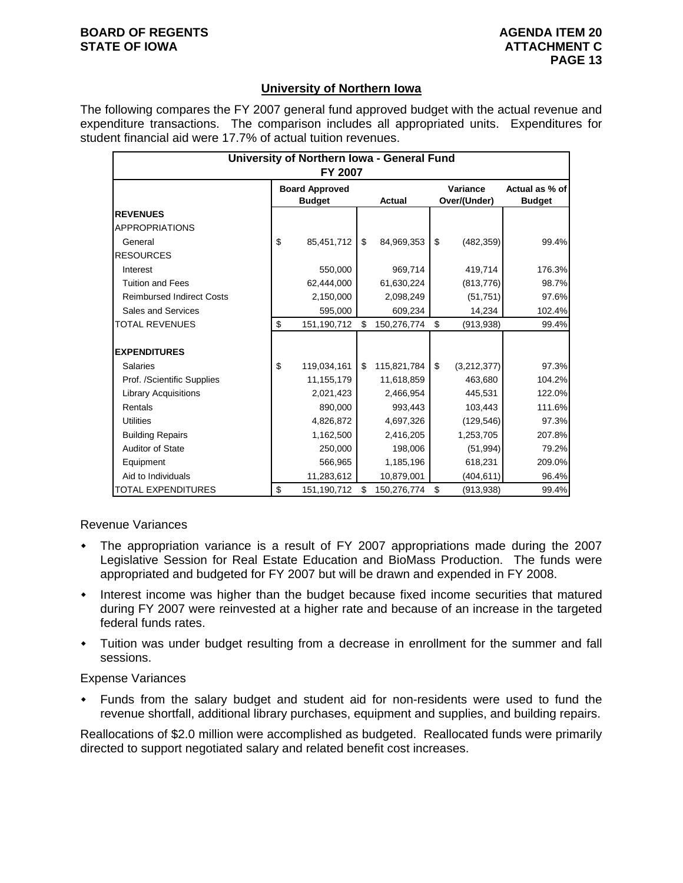## **University of Northern Iowa**

The following compares the FY 2007 general fund approved budget with the actual revenue and expenditure transactions. The comparison includes all appropriated units. Expenditures for student financial aid were 17.7% of actual tuition revenues.

| University of Northern Iowa - General Fund<br>FY 2007 |    |                                        |    |               |    |                          |                                 |  |  |  |  |  |
|-------------------------------------------------------|----|----------------------------------------|----|---------------|----|--------------------------|---------------------------------|--|--|--|--|--|
|                                                       |    | <b>Board Approved</b><br><b>Budget</b> |    | <b>Actual</b> |    | Variance<br>Over/(Under) | Actual as % of<br><b>Budget</b> |  |  |  |  |  |
| <b>REVENUES</b>                                       |    |                                        |    |               |    |                          |                                 |  |  |  |  |  |
| <b>APPROPRIATIONS</b>                                 |    |                                        |    |               |    |                          |                                 |  |  |  |  |  |
| General                                               | \$ | 85,451,712                             | \$ | 84,969,353    | \$ | (482, 359)               | 99.4%                           |  |  |  |  |  |
| <b>RESOURCES</b>                                      |    |                                        |    |               |    |                          |                                 |  |  |  |  |  |
| Interest                                              |    | 550,000                                |    | 969,714       |    | 419,714                  | 176.3%                          |  |  |  |  |  |
| <b>Tuition and Fees</b>                               |    | 62,444,000                             |    | 61,630,224    |    | (813, 776)               | 98.7%                           |  |  |  |  |  |
| <b>Reimbursed Indirect Costs</b>                      |    | 2,150,000                              |    | 2,098,249     |    | (51, 751)                | 97.6%                           |  |  |  |  |  |
| Sales and Services                                    |    | 595,000                                |    | 609,234       |    | 14,234                   | 102.4%                          |  |  |  |  |  |
| <b>TOTAL REVENUES</b>                                 | \$ | 151,190,712                            | \$ | 150,276,774   | \$ | (913, 938)               | 99.4%                           |  |  |  |  |  |
| <b>IEXPENDITURES</b>                                  |    |                                        |    |               |    |                          |                                 |  |  |  |  |  |
| <b>Salaries</b>                                       | \$ | 119,034,161                            | \$ | 115,821,784   | \$ | (3,212,377)              | 97.3%                           |  |  |  |  |  |
| Prof. /Scientific Supplies                            |    | 11, 155, 179                           |    | 11,618,859    |    | 463,680                  | 104.2%                          |  |  |  |  |  |
| <b>Library Acquisitions</b>                           |    | 2,021,423                              |    | 2,466,954     |    | 445,531                  | 122.0%                          |  |  |  |  |  |
| Rentals                                               |    | 890,000                                |    | 993,443       |    | 103,443                  | 111.6%                          |  |  |  |  |  |
| <b>Utilities</b>                                      |    | 4,826,872                              |    | 4,697,326     |    | (129, 546)               | 97.3%                           |  |  |  |  |  |
| <b>Building Repairs</b>                               |    | 1,162,500                              |    | 2,416,205     |    | 1,253,705                | 207.8%                          |  |  |  |  |  |
| <b>Auditor of State</b>                               |    | 250,000                                |    | 198,006       |    | (51, 994)                | 79.2%                           |  |  |  |  |  |
| Equipment                                             |    | 566,965                                |    | 1,185,196     |    | 618,231                  | 209.0%                          |  |  |  |  |  |
| Aid to Individuals                                    |    | 11,283,612                             |    | 10,879,001    |    | (404,611)                | 96.4%                           |  |  |  |  |  |
| <b>TOTAL EXPENDITURES</b>                             | \$ | 151,190,712                            | \$ | 150,276,774   | \$ | (913, 938)               | 99.4%                           |  |  |  |  |  |

Revenue Variances

- The appropriation variance is a result of FY 2007 appropriations made during the 2007 Legislative Session for Real Estate Education and BioMass Production. The funds were appropriated and budgeted for FY 2007 but will be drawn and expended in FY 2008.
- Interest income was higher than the budget because fixed income securities that matured during FY 2007 were reinvested at a higher rate and because of an increase in the targeted federal funds rates.
- Tuition was under budget resulting from a decrease in enrollment for the summer and fall sessions.

### Expense Variances

 Funds from the salary budget and student aid for non-residents were used to fund the revenue shortfall, additional library purchases, equipment and supplies, and building repairs.

Reallocations of \$2.0 million were accomplished as budgeted. Reallocated funds were primarily directed to support negotiated salary and related benefit cost increases.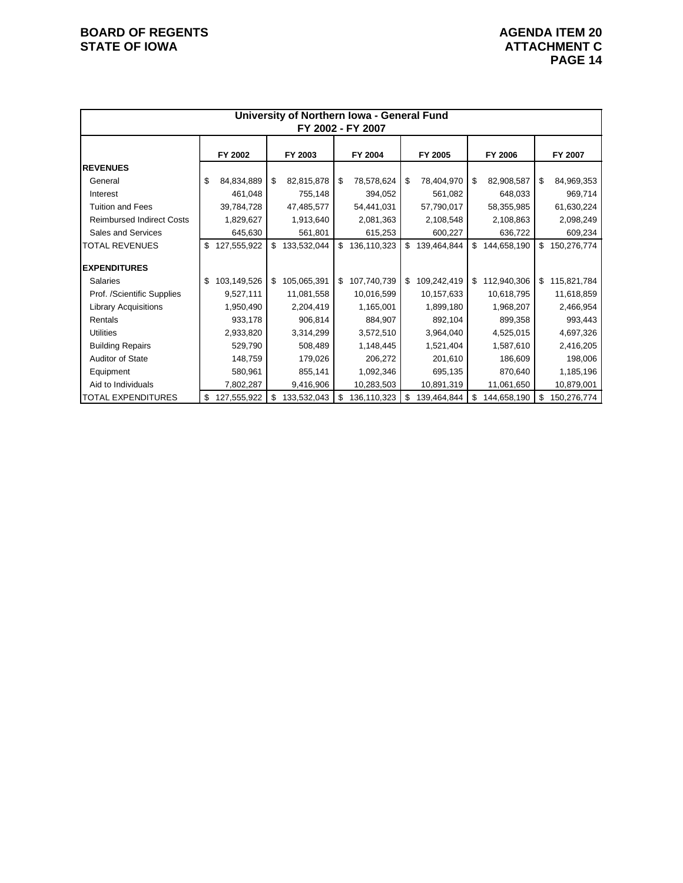|                                  |                   |                   |     | University of Northern Iowa - General Fund |                   |                   |                   |
|----------------------------------|-------------------|-------------------|-----|--------------------------------------------|-------------------|-------------------|-------------------|
|                                  |                   |                   |     | FY 2002 - FY 2007                          |                   |                   |                   |
|                                  | FY 2002           | FY 2003           |     | FY 2004                                    | FY 2005           | FY 2006           | FY 2007           |
| <b>REVENUES</b>                  |                   |                   |     |                                            |                   |                   |                   |
| General                          | \$<br>84,834,889  | \$<br>82,815,878  | -\$ | 78,578,624                                 | \$<br>78,404,970  | \$<br>82,908,587  | \$<br>84,969,353  |
| Interest                         | 461,048           | 755,148           |     | 394,052                                    | 561,082           | 648,033           | 969,714           |
| <b>Tuition and Fees</b>          | 39,784,728        | 47,485,577        |     | 54,441,031                                 | 57,790,017        | 58,355,985        | 61,630,224        |
| <b>Reimbursed Indirect Costs</b> | 1,829,627         | 1,913,640         |     | 2,081,363                                  | 2,108,548         | 2,108,863         | 2,098,249         |
| Sales and Services               | 645,630           | 561,801           |     | 615,253                                    | 600,227           | 636,722           | 609,234           |
| <b>TOTAL REVENUES</b>            | \$<br>127,555,922 | \$133,532,044     | \$  | 136,110,323                                | \$<br>139,464,844 | \$<br>144,658,190 | \$<br>150,276,774 |
| <b>EXPENDITURES</b>              |                   |                   |     |                                            |                   |                   |                   |
| <b>Salaries</b>                  | \$<br>103,149,526 | \$<br>105,065,391 | \$  | 107,740,739                                | \$<br>109,242,419 | \$<br>112,940,306 | \$<br>115,821,784 |
| Prof. /Scientific Supplies       | 9,527,111         | 11,081,558        |     | 10,016,599                                 | 10,157,633        | 10,618,795        | 11,618,859        |
| <b>Library Acquisitions</b>      | 1,950,490         | 2,204,419         |     | 1,165,001                                  | 1,899,180         | 1,968,207         | 2,466,954         |
| Rentals                          | 933,178           | 906,814           |     | 884,907                                    | 892,104           | 899,358           | 993,443           |
| <b>Utilities</b>                 | 2,933,820         | 3,314,299         |     | 3,572,510                                  | 3,964,040         | 4,525,015         | 4,697,326         |
| <b>Building Repairs</b>          | 529,790           | 508,489           |     | 1,148,445                                  | 1,521,404         | 1,587,610         | 2,416,205         |
| Auditor of State                 | 148,759           | 179,026           |     | 206,272                                    | 201,610           | 186,609           | 198,006           |
| Equipment                        | 580,961           | 855,141           |     | 1,092,346                                  | 695,135           | 870,640           | 1,185,196         |
| Aid to Individuals               | 7,802,287         | 9,416,906         |     | 10,283,503                                 | 10,891,319        | 11,061,650        | 10,879,001        |
| <b>TOTAL EXPENDITURES</b>        | \$<br>127,555,922 | \$<br>133,532,043 | \$  | 136,110,323                                | \$<br>139,464,844 | \$<br>144,658,190 | \$<br>150,276,774 |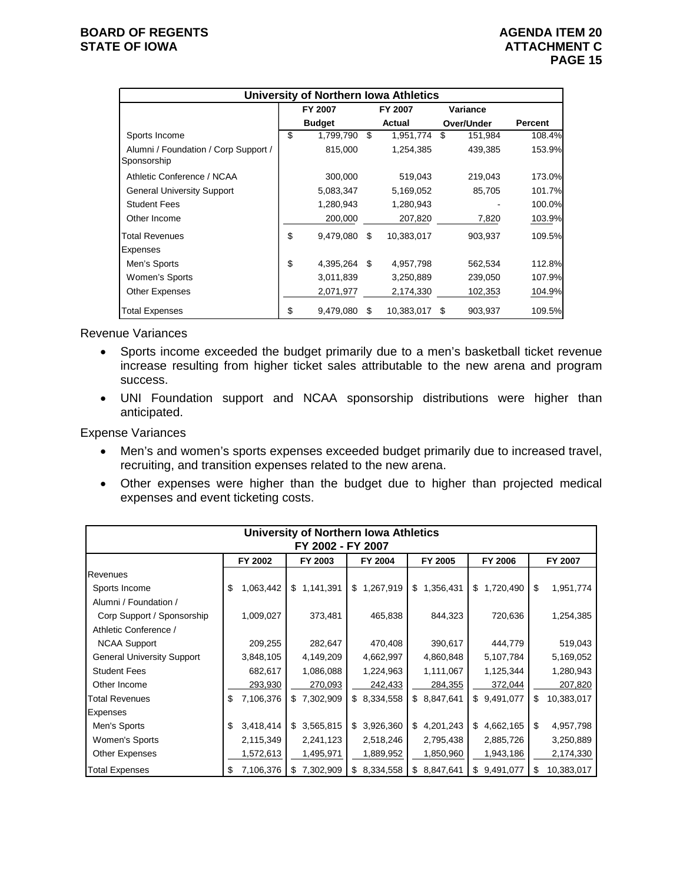|                                                     | University of Northern Iowa Athletics |    |            |     |            |                |
|-----------------------------------------------------|---------------------------------------|----|------------|-----|------------|----------------|
|                                                     | FY 2007                               |    | FY 2007    |     | Variance   |                |
|                                                     | <b>Budget</b>                         |    | Actual     |     | Over/Under | <b>Percent</b> |
| Sports Income                                       | \$<br>1,799,790                       | S  | 1,951,774  | S   | 151,984    | 108.4%         |
| Alumni / Foundation / Corp Support /<br>Sponsorship | 815,000                               |    | 1,254,385  |     | 439,385    | 153.9%         |
| Athletic Conference / NCAA                          | 300,000                               |    | 519,043    |     | 219,043    | 173.0%         |
| <b>General University Support</b>                   | 5,083,347                             |    | 5,169,052  |     | 85,705     | 101.7%         |
| <b>Student Fees</b>                                 | 1,280,943                             |    | 1,280,943  |     |            | 100.0%         |
| Other Income                                        | 200,000                               |    | 207,820    |     | 7,820      | 103.9%         |
| <b>Total Revenues</b>                               | \$<br>9,479,080                       | \$ | 10,383,017 |     | 903,937    | 109.5%         |
| Expenses                                            |                                       |    |            |     |            |                |
| Men's Sports                                        | \$<br>4,395,264                       | \$ | 4,957,798  |     | 562,534    | 112.8%         |
| Women's Sports                                      | 3,011,839                             |    | 3,250,889  |     | 239,050    | 107.9%         |
| Other Expenses                                      | 2,071,977                             |    | 2,174,330  |     | 102,353    | 104.9%         |
| <b>Total Expenses</b>                               | \$<br>9,479,080                       | \$ | 10,383,017 | \$. | 903,937    | 109.5%         |

Revenue Variances

- Sports income exceeded the budget primarily due to a men's basketball ticket revenue increase resulting from higher ticket sales attributable to the new arena and program success.
- UNI Foundation support and NCAA sponsorship distributions were higher than anticipated.

Expense Variances

- Men's and women's sports expenses exceeded budget primarily due to increased travel, recruiting, and transition expenses related to the new arena.
- Other expenses were higher than the budget due to higher than projected medical expenses and event ticketing costs.

|                                   | <b>University of Northern Iowa Athletics</b><br>FY 2002 - FY 2007 |           |         |             |         |           |    |             |    |             |    |            |  |
|-----------------------------------|-------------------------------------------------------------------|-----------|---------|-------------|---------|-----------|----|-------------|----|-------------|----|------------|--|
|                                   | FY 2003<br>FY 2004                                                |           | FY 2005 |             | FY 2006 |           |    | FY 2007     |    |             |    |            |  |
| Revenues                          |                                                                   |           |         |             |         |           |    |             |    |             |    |            |  |
| Sports Income                     | \$                                                                | 1,063,442 | \$      | 1,141,391   | \$      | 1,267,919 | \$ | 1,356,431   | \$ | 1,720,490   | \$ | 1,951,774  |  |
| Alumni / Foundation /             |                                                                   |           |         |             |         |           |    |             |    |             |    |            |  |
| Corp Support / Sponsorship        |                                                                   | 1,009,027 |         | 373,481     |         | 465,838   |    | 844,323     |    | 720,636     |    | 1,254,385  |  |
| Athletic Conference /             |                                                                   |           |         |             |         |           |    |             |    |             |    |            |  |
| <b>NCAA Support</b>               |                                                                   | 209,255   |         | 282,647     |         | 470,408   |    | 390,617     |    | 444,779     |    | 519,043    |  |
| <b>General University Support</b> |                                                                   | 3,848,105 |         | 4,149,209   |         | 4,662,997 |    | 4,860,848   |    | 5,107,784   |    | 5,169,052  |  |
| <b>Student Fees</b>               |                                                                   | 682,617   |         | 1,086,088   |         | 1,224,963 |    | 1,111,067   |    | 1,125,344   |    | 1,280,943  |  |
| Other Income                      |                                                                   | 293,930   |         | 270,093     |         | 242,433   |    | 284,355     |    | 372,044     |    | 207,820    |  |
| Total Revenues                    | \$                                                                | 7,106,376 |         | \$7,302,909 | \$      | 8,334,558 |    | \$8,847,641 |    | \$9,491,077 | \$ | 10,383,017 |  |
| <b>Expenses</b>                   |                                                                   |           |         |             |         |           |    |             |    |             |    |            |  |
| Men's Sports                      | \$                                                                | 3,418,414 |         | \$3,565,815 | \$      | 3,926,360 |    | \$4,201,243 |    | \$4,662,165 | \$ | 4,957,798  |  |
| Women's Sports                    |                                                                   | 2,115,349 |         | 2,241,123   |         | 2,518,246 |    | 2,795,438   |    | 2,885,726   |    | 3,250,889  |  |
| <b>Other Expenses</b>             |                                                                   | 1,572,613 |         | 1,495,971   |         | 1,889,952 |    | 1,850,960   |    | 1,943,186   |    | 2,174,330  |  |
| <b>Total Expenses</b>             | \$                                                                | 7,106,376 | \$      | 7,302,909   | \$      | 8,334,558 | \$ | 8,847,641   | \$ | 9,491,077   | S  | 10,383,017 |  |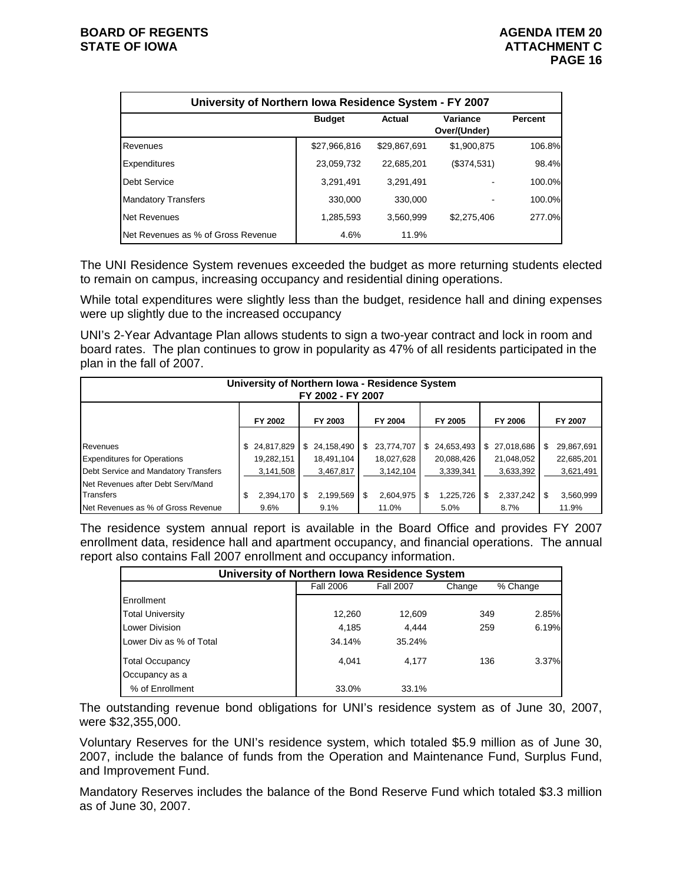| University of Northern Iowa Residence System - FY 2007 |               |              |                          |                |  |  |  |  |  |  |  |  |
|--------------------------------------------------------|---------------|--------------|--------------------------|----------------|--|--|--|--|--|--|--|--|
|                                                        | <b>Budget</b> | Actual       | Variance<br>Over/(Under) | <b>Percent</b> |  |  |  |  |  |  |  |  |
| Revenues                                               | \$27,966,816  | \$29,867,691 | \$1,900,875              | 106.8%         |  |  |  |  |  |  |  |  |
| Expenditures                                           | 23,059,732    | 22.685.201   | (\$374,531)              | 98.4%          |  |  |  |  |  |  |  |  |
| Debt Service                                           | 3,291,491     | 3.291.491    |                          | 100.0%         |  |  |  |  |  |  |  |  |
| <b>Mandatory Transfers</b>                             | 330,000       | 330,000      |                          | 100.0%         |  |  |  |  |  |  |  |  |
| <b>Net Revenues</b>                                    | 1,285,593     | 3.560.999    | \$2,275,406              | 277.0%         |  |  |  |  |  |  |  |  |
| Net Revenues as % of Gross Revenue                     | 4.6%          | 11.9%        |                          |                |  |  |  |  |  |  |  |  |

The UNI Residence System revenues exceeded the budget as more returning students elected to remain on campus, increasing occupancy and residential dining operations.

While total expenditures were slightly less than the budget, residence hall and dining expenses were up slightly due to the increased occupancy

UNI's 2-Year Advantage Plan allows students to sign a two-year contract and lock in room and board rates. The plan continues to grow in popularity as 47% of all residents participated in the plan in the fall of 2007.

| University of Northern Iowa - Residence System<br>FY 2002 - FY 2007 |                 |                 |                  |                  |                  |                   |  |  |  |  |
|---------------------------------------------------------------------|-----------------|-----------------|------------------|------------------|------------------|-------------------|--|--|--|--|
| FY 2005<br>FY 2002<br>FY 2003<br>FY 2004<br>FY 2006<br>FY 2007      |                 |                 |                  |                  |                  |                   |  |  |  |  |
|                                                                     |                 |                 |                  |                  |                  |                   |  |  |  |  |
| Revenues                                                            | \$24,817,829    | \$24,158,490    | 23,774,707<br>\$ | 24,653,493<br>\$ | 27,018,686<br>\$ | 29,867,691<br>\$. |  |  |  |  |
| <b>Expenditures for Operations</b>                                  | 19,282,151      | 18,491,104      | 18,027,628       | 20,088,426       | 21,048,052       | 22,685,201        |  |  |  |  |
| Debt Service and Mandatory Transfers                                | 3,141,508       | 3,467,817       | 3,142,104        | 3,339,341        | 3,633,392        | 3,621,491         |  |  |  |  |
| Net Revenues after Debt Serv/Mand                                   |                 |                 |                  |                  |                  |                   |  |  |  |  |
| <b>Transfers</b>                                                    | 2,394,170<br>\$ | \$<br>2,199,569 | 2,604,975<br>\$  | 1,225,726        | 2,337,242<br>S   | 3,560,999         |  |  |  |  |
| Net Revenues as % of Gross Revenue                                  | 9.6%            | 9.1%            | 11.0%            | 5.0%             | 8.7%             | 11.9%             |  |  |  |  |

The residence system annual report is available in the Board Office and provides FY 2007 enrollment data, residence hall and apartment occupancy, and financial operations. The annual report also contains Fall 2007 enrollment and occupancy information.

| University of Northern Iowa Residence System |                  |                  |        |          |  |  |  |  |
|----------------------------------------------|------------------|------------------|--------|----------|--|--|--|--|
|                                              | <b>Fall 2006</b> | <b>Fall 2007</b> | Change | % Change |  |  |  |  |
| Enrollment                                   |                  |                  |        |          |  |  |  |  |
| <b>Total University</b>                      | 12,260           | 12,609           | 349    | 2.85%    |  |  |  |  |
| Lower Division                               | 4,185            | 4.444            | 259    | 6.19%    |  |  |  |  |
| Lower Div as % of Total                      | 34.14%           | 35.24%           |        |          |  |  |  |  |
| <b>Total Occupancy</b>                       | 4.041            | 4.177            | 136    | 3.37%    |  |  |  |  |
| Occupancy as a                               |                  |                  |        |          |  |  |  |  |
| % of Enrollment                              | 33.0%            | 33.1%            |        |          |  |  |  |  |

The outstanding revenue bond obligations for UNI's residence system as of June 30, 2007, were \$32,355,000.

Voluntary Reserves for the UNI's residence system, which totaled \$5.9 million as of June 30, 2007, include the balance of funds from the Operation and Maintenance Fund, Surplus Fund, and Improvement Fund.

Mandatory Reserves includes the balance of the Bond Reserve Fund which totaled \$3.3 million as of June 30, 2007.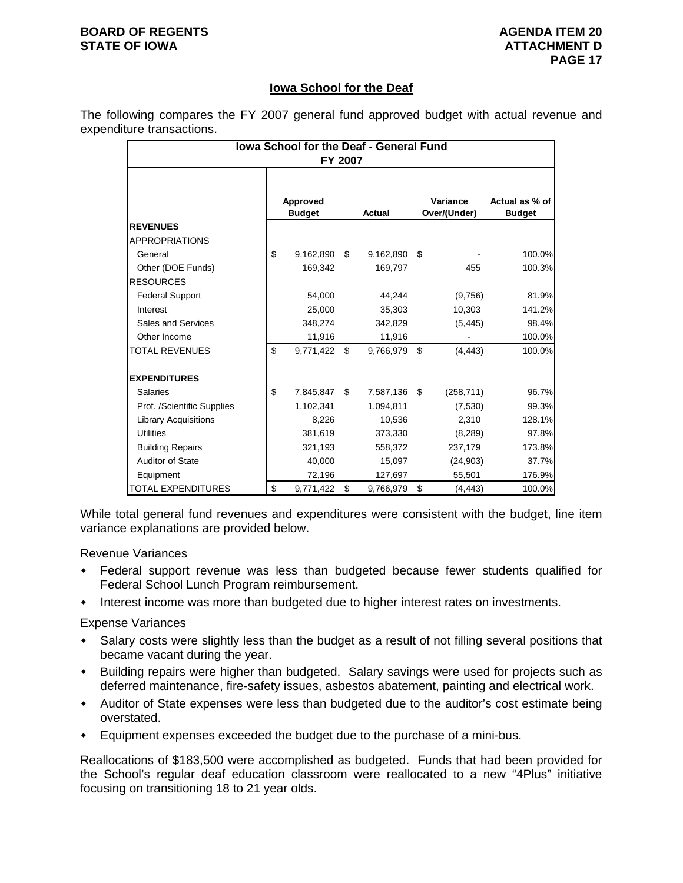### **BOARD OF REGENTS AGENUS AGENDA ITEM 20 STATE OF IOWA ATTACHMENT D**

## **Iowa School for the Deaf**

The following compares the FY 2007 general fund approved budget with actual revenue and expenditure transactions.

| <b>Iowa School for the Deaf - General Fund</b><br>FY 2007 |    |                           |     |           |    |                          |                                 |  |  |
|-----------------------------------------------------------|----|---------------------------|-----|-----------|----|--------------------------|---------------------------------|--|--|
|                                                           |    | Approved<br><b>Budget</b> |     | Actual    |    | Variance<br>Over/(Under) | Actual as % of<br><b>Budget</b> |  |  |
| <b>REVENUES</b>                                           |    |                           |     |           |    |                          |                                 |  |  |
| <b>APPROPRIATIONS</b>                                     |    |                           |     |           |    |                          |                                 |  |  |
| General                                                   | \$ | 9,162,890                 | \$  | 9,162,890 | \$ |                          | 100.0%                          |  |  |
| Other (DOE Funds)                                         |    | 169,342                   |     | 169,797   |    | 455                      | 100.3%                          |  |  |
| <b>RESOURCES</b>                                          |    |                           |     |           |    |                          |                                 |  |  |
| <b>Federal Support</b>                                    |    | 54,000                    |     | 44,244    |    | (9,756)                  | 81.9%                           |  |  |
| Interest                                                  |    | 25,000                    |     | 35,303    |    | 10,303                   | 141.2%                          |  |  |
| Sales and Services                                        |    | 348,274                   |     | 342,829   |    | (5, 445)                 | 98.4%                           |  |  |
| Other Income                                              |    | 11,916                    |     | 11,916    |    |                          | 100.0%                          |  |  |
| <b>TOTAL REVENUES</b>                                     | \$ | 9,771,422                 | \$. | 9,766,979 | \$ | (4, 443)                 | 100.0%                          |  |  |
| <b>EXPENDITURES</b>                                       |    |                           |     |           |    |                          |                                 |  |  |
| Salaries                                                  | \$ | 7,845,847                 | \$  | 7,587,136 | \$ | (258, 711)               | 96.7%                           |  |  |
| Prof. /Scientific Supplies                                |    | 1,102,341                 |     | 1,094,811 |    | (7,530)                  | 99.3%                           |  |  |
| <b>Library Acquisitions</b>                               |    | 8.226                     |     | 10,536    |    | 2,310                    | 128.1%                          |  |  |
| <b>Utilities</b>                                          |    | 381,619                   |     | 373,330   |    | (8, 289)                 | 97.8%                           |  |  |
| <b>Building Repairs</b>                                   |    | 321,193                   |     | 558,372   |    | 237,179                  | 173.8%                          |  |  |
| Auditor of State                                          |    | 40,000                    |     | 15,097    |    | (24, 903)                | 37.7%                           |  |  |
| Equipment                                                 |    | 72,196                    |     | 127,697   |    | 55,501                   | 176.9%                          |  |  |
| <b>TOTAL EXPENDITURES</b>                                 | \$ | 9,771,422                 | \$  | 9,766,979 | \$ | (4, 443)                 | 100.0%                          |  |  |

While total general fund revenues and expenditures were consistent with the budget, line item variance explanations are provided below.

Revenue Variances

- Federal support revenue was less than budgeted because fewer students qualified for Federal School Lunch Program reimbursement.
- Interest income was more than budgeted due to higher interest rates on investments.

Expense Variances

- Salary costs were slightly less than the budget as a result of not filling several positions that became vacant during the year.
- Building repairs were higher than budgeted. Salary savings were used for projects such as deferred maintenance, fire-safety issues, asbestos abatement, painting and electrical work.
- Auditor of State expenses were less than budgeted due to the auditor's cost estimate being overstated.
- Equipment expenses exceeded the budget due to the purchase of a mini-bus.

Reallocations of \$183,500 were accomplished as budgeted. Funds that had been provided for the School's regular deaf education classroom were reallocated to a new "4Plus" initiative focusing on transitioning 18 to 21 year olds.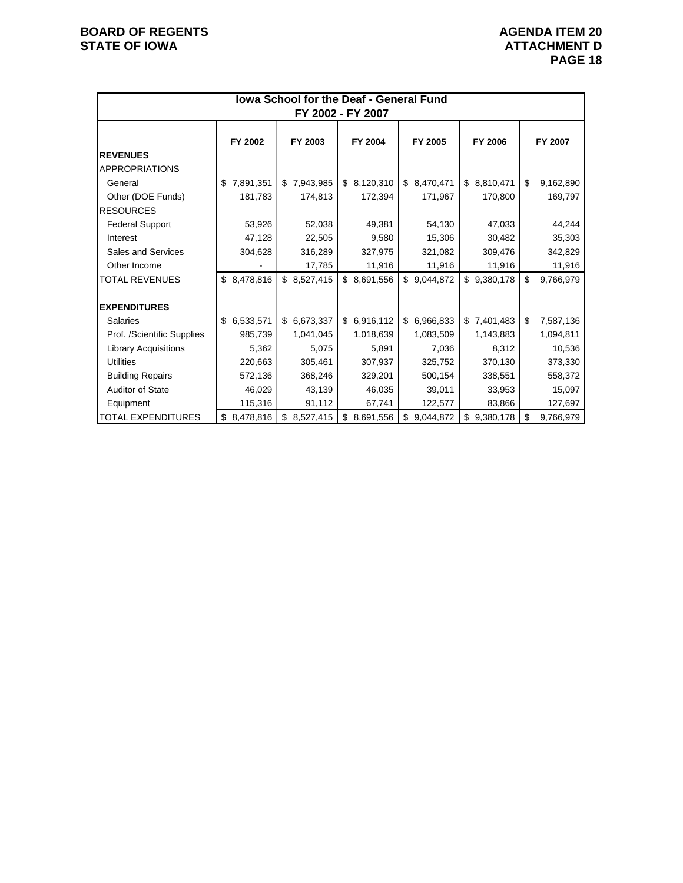| <b>Iowa School for the Deaf - General Fund</b><br>FY 2002 - FY 2007 |                 |             |                 |                 |                 |                 |  |  |  |
|---------------------------------------------------------------------|-----------------|-------------|-----------------|-----------------|-----------------|-----------------|--|--|--|
|                                                                     | FY 2002         | FY 2003     | FY 2004         | FY 2005         | FY 2006         | FY 2007         |  |  |  |
| <b>REVENUES</b><br><b>APPROPRIATIONS</b>                            |                 |             |                 |                 |                 |                 |  |  |  |
| General                                                             | 7,891,351<br>\$ | \$7,943,985 | \$8,120,310     | \$ 8,470,471    | \$8,810,471     | \$<br>9,162,890 |  |  |  |
| Other (DOE Funds)                                                   | 181,783         | 174,813     | 172,394         | 171,967         | 170,800         | 169,797         |  |  |  |
| <b>RESOURCES</b>                                                    |                 |             |                 |                 |                 |                 |  |  |  |
| <b>Federal Support</b>                                              | 53,926          | 52,038      | 49,381          | 54,130          | 47,033          | 44,244          |  |  |  |
| Interest                                                            | 47,128          | 22,505      | 9,580           | 15,306          | 30,482          | 35,303          |  |  |  |
| Sales and Services                                                  | 304,628         | 316,289     | 327,975         | 321,082         | 309,476         | 342,829         |  |  |  |
| Other Income                                                        |                 | 17,785      | 11,916          | 11,916          | 11,916          | 11,916          |  |  |  |
| <b>TOTAL REVENUES</b>                                               | \$8,478,816     | \$8,527,415 | \$ 8,691,556    | \$<br>9,044,872 | \$9,380,178     | \$<br>9,766,979 |  |  |  |
|                                                                     |                 |             |                 |                 |                 |                 |  |  |  |
| <b>EXPENDITURES</b>                                                 |                 |             |                 |                 |                 |                 |  |  |  |
| <b>Salaries</b>                                                     | 6,533,571<br>\$ | \$6,673,337 | \$6,916,112     | 6,966,833<br>\$ | \$7,401,483     | \$<br>7,587,136 |  |  |  |
| Prof. /Scientific Supplies                                          | 985,739         | 1,041,045   | 1,018,639       | 1,083,509       | 1,143,883       | 1,094,811       |  |  |  |
| <b>Library Acquisitions</b>                                         | 5,362           | 5,075       | 5,891           | 7,036           | 8,312           | 10,536          |  |  |  |
| <b>Utilities</b>                                                    | 220,663         | 305,461     | 307,937         | 325,752         | 370,130         | 373,330         |  |  |  |
| <b>Building Repairs</b>                                             | 572,136         | 368,246     | 329,201         | 500,154         | 338,551         | 558,372         |  |  |  |
| <b>Auditor of State</b>                                             | 46,029          | 43,139      | 46,035          | 39,011          | 33,953          | 15,097          |  |  |  |
| Equipment                                                           | 115,316         | 91,112      | 67,741          | 122,577         | 83,866          | 127,697         |  |  |  |
| <b>TOTAL EXPENDITURES</b>                                           | 8,478,816<br>\$ | \$8,527,415 | 8,691,556<br>\$ | \$<br>9,044,872 | 9,380,178<br>\$ | \$<br>9,766,979 |  |  |  |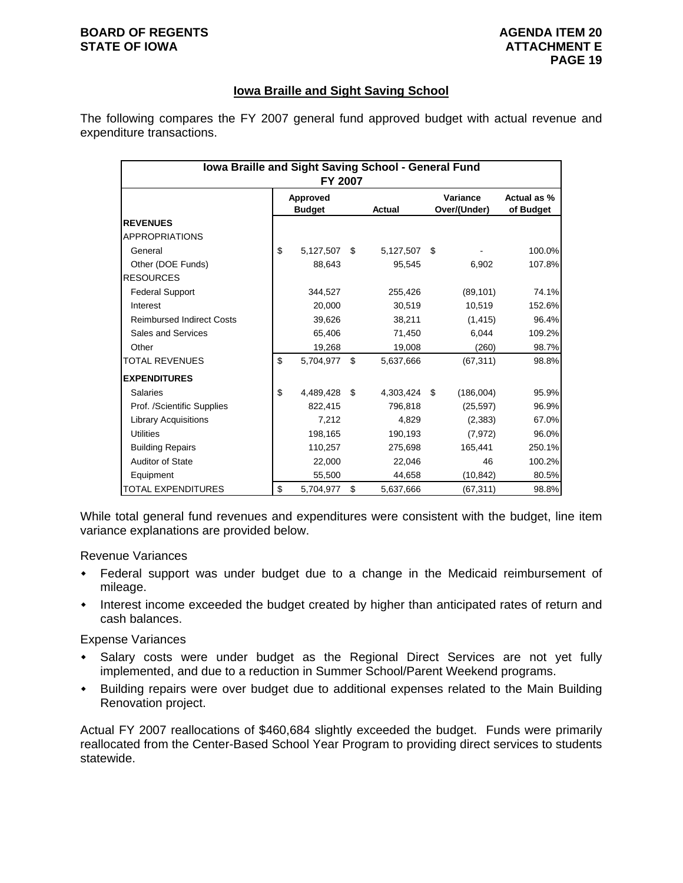### **BOARD OF REGENTS AGENUS AGENDA ITEM 20 STATE OF IOWA ATTACHMENT E**

# **Iowa Braille and Sight Saving School**

The following compares the FY 2007 general fund approved budget with actual revenue and expenditure transactions.

| Iowa Braille and Sight Saving School - General Fund<br>FY 2007 |                           |           |    |           |    |                          |                          |  |  |  |
|----------------------------------------------------------------|---------------------------|-----------|----|-----------|----|--------------------------|--------------------------|--|--|--|
|                                                                | Approved<br><b>Budget</b> |           |    | Actual    |    | Variance<br>Over/(Under) | Actual as %<br>of Budget |  |  |  |
| <b>REVENUES</b>                                                |                           |           |    |           |    |                          |                          |  |  |  |
| <b>APPROPRIATIONS</b>                                          |                           |           |    |           |    |                          |                          |  |  |  |
| General                                                        | \$                        | 5,127,507 | \$ | 5,127,507 | \$ |                          | 100.0%                   |  |  |  |
| Other (DOE Funds)                                              |                           | 88,643    |    | 95,545    |    | 6,902                    | 107.8%                   |  |  |  |
| <b>RESOURCES</b>                                               |                           |           |    |           |    |                          |                          |  |  |  |
| <b>Federal Support</b>                                         |                           | 344,527   |    | 255,426   |    | (89, 101)                | 74.1%                    |  |  |  |
| Interest                                                       |                           | 20,000    |    | 30,519    |    | 10,519                   | 152.6%                   |  |  |  |
| <b>Reimbursed Indirect Costs</b>                               |                           | 39,626    |    | 38,211    |    | (1, 415)                 | 96.4%                    |  |  |  |
| Sales and Services                                             |                           | 65,406    |    | 71,450    |    | 6,044                    | 109.2%                   |  |  |  |
| Other                                                          |                           | 19,268    |    | 19,008    |    | (260)                    | 98.7%                    |  |  |  |
| TOTAL REVENUES                                                 | \$                        | 5,704,977 | \$ | 5,637,666 |    | (67, 311)                | 98.8%                    |  |  |  |
| <b>EXPENDITURES</b>                                            |                           |           |    |           |    |                          |                          |  |  |  |
| Salaries                                                       | \$                        | 4,489,428 | \$ | 4,303,424 | \$ | (186,004)                | 95.9%                    |  |  |  |
| Prof. /Scientific Supplies                                     |                           | 822,415   |    | 796,818   |    | (25, 597)                | 96.9%                    |  |  |  |
| <b>Library Acquisitions</b>                                    |                           | 7,212     |    | 4,829     |    | (2,383)                  | 67.0%                    |  |  |  |
| <b>Utilities</b>                                               |                           | 198,165   |    | 190,193   |    | (7, 972)                 | 96.0%                    |  |  |  |
| <b>Building Repairs</b>                                        |                           | 110,257   |    | 275.698   |    | 165,441                  | 250.1%                   |  |  |  |
| <b>Auditor of State</b>                                        |                           | 22,000    |    | 22,046    |    | 46                       | 100.2%                   |  |  |  |
| Equipment                                                      |                           | 55,500    |    | 44,658    |    | (10, 842)                | 80.5%                    |  |  |  |
| TOTAL EXPENDITURES                                             | \$                        | 5,704,977 | \$ | 5,637,666 |    | (67, 311)                | 98.8%                    |  |  |  |

While total general fund revenues and expenditures were consistent with the budget, line item variance explanations are provided below.

Revenue Variances

- Federal support was under budget due to a change in the Medicaid reimbursement of mileage.
- Interest income exceeded the budget created by higher than anticipated rates of return and cash balances.

Expense Variances

- Salary costs were under budget as the Regional Direct Services are not yet fully implemented, and due to a reduction in Summer School/Parent Weekend programs.
- Building repairs were over budget due to additional expenses related to the Main Building Renovation project.

Actual FY 2007 reallocations of \$460,684 slightly exceeded the budget. Funds were primarily reallocated from the Center-Based School Year Program to providing direct services to students statewide.